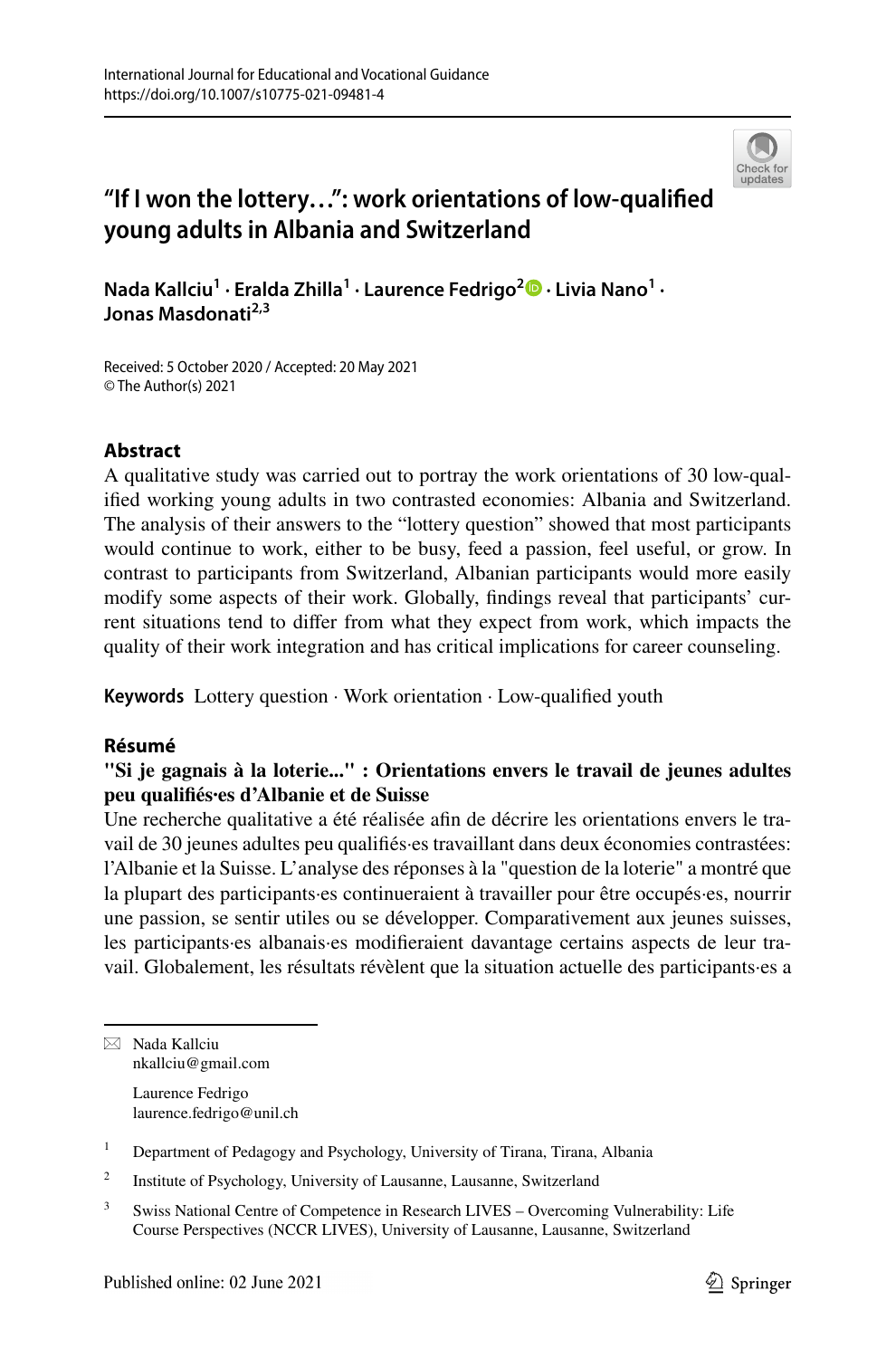

# **"If I won the lottery…": work orientations of low‑qualifed young adults in Albania and Switzerland**

**Nada Kallciu1 · Eralda Zhilla1 · Laurence Fedrigo2 · Livia Nano1 · Jonas Masdonati2,3**

Received: 5 October 2020 / Accepted: 20 May 2021 © The Author(s) 2021

## **Abstract**

A qualitative study was carried out to portray the work orientations of 30 low-qualifed working young adults in two contrasted economies: Albania and Switzerland. The analysis of their answers to the "lottery question" showed that most participants would continue to work, either to be busy, feed a passion, feel useful, or grow. In contrast to participants from Switzerland, Albanian participants would more easily modify some aspects of their work. Globally, fndings reveal that participants' current situations tend to difer from what they expect from work, which impacts the quality of their work integration and has critical implications for career counseling.

**Keywords** Lottery question · Work orientation · Low-qualifed youth

### **Résumé**

## **"Si je gagnais à la loterie..." : Orientations envers le travail de jeunes adultes peu qualifés·es d'Albanie et de Suisse**

Une recherche qualitative a été réalisée afn de décrire les orientations envers le travail de 30 jeunes adultes peu qualifés·es travaillant dans deux économies contrastées: l'Albanie et la Suisse. L'analyse des réponses à la "question de la loterie" a montré que la plupart des participants·es continueraient à travailler pour être occupés·es, nourrir une passion, se sentir utiles ou se développer. Comparativement aux jeunes suisses, les participants·es albanais·es modiferaient davantage certains aspects de leur travail. Globalement, les résultats révèlent que la situation actuelle des participants·es a

 $\boxtimes$  Nada Kallciu nkallciu@gmail.com

Laurence Fedrigo laurence.fedrigo@unil.ch

<sup>1</sup> Department of Pedagogy and Psychology, University of Tirana, Tirana, Albania

<sup>2</sup> Institute of Psychology, University of Lausanne, Lausanne, Switzerland

<sup>&</sup>lt;sup>3</sup> Swiss National Centre of Competence in Research LIVES – Overcoming Vulnerability: Life Course Perspectives (NCCR LIVES), University of Lausanne, Lausanne, Switzerland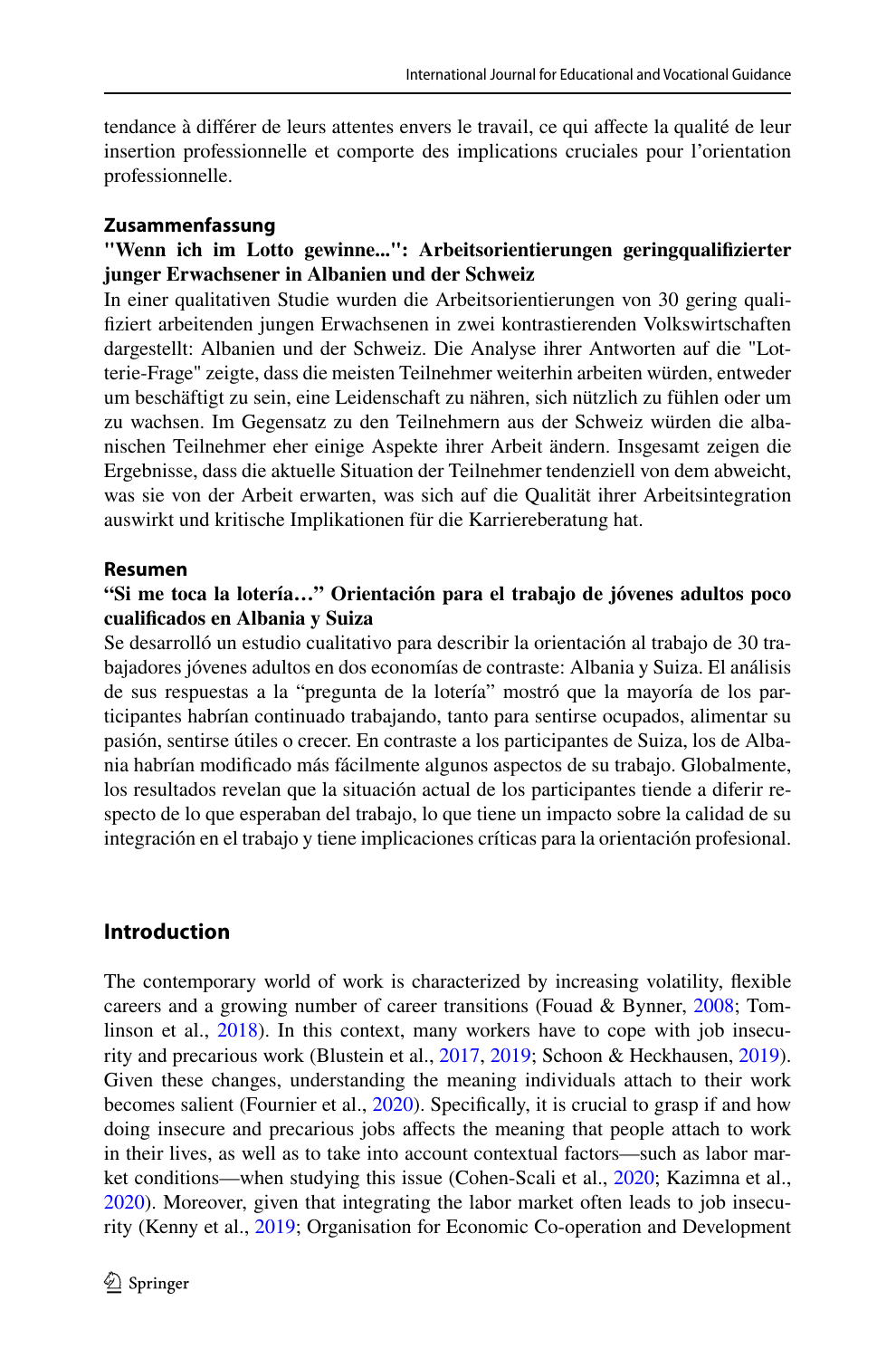tendance à différer de leurs attentes envers le travail, ce qui affecte la qualité de leur insertion professionnelle et comporte des implications cruciales pour l'orientation professionnelle.

### **Zusammenfassung**

## **"Wenn ich im Lotto gewinne...": Arbeitsorientierungen geringqualifzierter junger Erwachsener in Albanien und der Schweiz**

In einer qualitativen Studie wurden die Arbeitsorientierungen von 30 gering qualifziert arbeitenden jungen Erwachsenen in zwei kontrastierenden Volkswirtschaften dargestellt: Albanien und der Schweiz. Die Analyse ihrer Antworten auf die "Lotterie-Frage" zeigte, dass die meisten Teilnehmer weiterhin arbeiten würden, entweder um beschäftigt zu sein, eine Leidenschaft zu nähren, sich nützlich zu fühlen oder um zu wachsen. Im Gegensatz zu den Teilnehmern aus der Schweiz würden die albanischen Teilnehmer eher einige Aspekte ihrer Arbeit ändern. Insgesamt zeigen die Ergebnisse, dass die aktuelle Situation der Teilnehmer tendenziell von dem abweicht, was sie von der Arbeit erwarten, was sich auf die Qualität ihrer Arbeitsintegration auswirkt und kritische Implikationen für die Karriereberatung hat.

#### **Resumen**

### **"Si me toca la lotería…" Orientación para el trabajo de jóvenes adultos poco cualifcados en Albania y Suiza**

Se desarrolló un estudio cualitativo para describir la orientación al trabajo de 30 trabajadores jóvenes adultos en dos economías de contraste: Albania y Suiza. El análisis de sus respuestas a la "pregunta de la lotería" mostró que la mayoría de los participantes habrían continuado trabajando, tanto para sentirse ocupados, alimentar su pasión, sentirse útiles o crecer. En contraste a los participantes de Suiza, los de Albania habrían modifcado más fácilmente algunos aspectos de su trabajo. Globalmente, los resultados revelan que la situación actual de los participantes tiende a diferir respecto de lo que esperaban del trabajo, lo que tiene un impacto sobre la calidad de su integración en el trabajo y tiene implicaciones críticas para la orientación profesional.

### **Introduction**

The contemporary world of work is characterized by increasing volatility, fexible careers and a growing number of career transitions (Fouad & Bynner, [2008](#page-16-0); Tom-linson et al., [2018\)](#page-18-0). In this context, many workers have to cope with job insecurity and precarious work (Blustein et al., [2017,](#page-16-1) [2019;](#page-16-2) Schoon & Heckhausen, [2019\)](#page-17-0). Given these changes, understanding the meaning individuals attach to their work becomes salient (Fournier et al., [2020\)](#page-16-3). Specifically, it is crucial to grasp if and how doing insecure and precarious jobs affects the meaning that people attach to work in their lives, as well as to take into account contextual factors—such as labor mar-ket conditions—when studying this issue (Cohen-Scali et al., [2020](#page-16-4); Kazimna et al., [2020](#page-17-1)). Moreover, given that integrating the labor market often leads to job insecurity (Kenny et al., [2019](#page-17-2); Organisation for Economic Co-operation and Development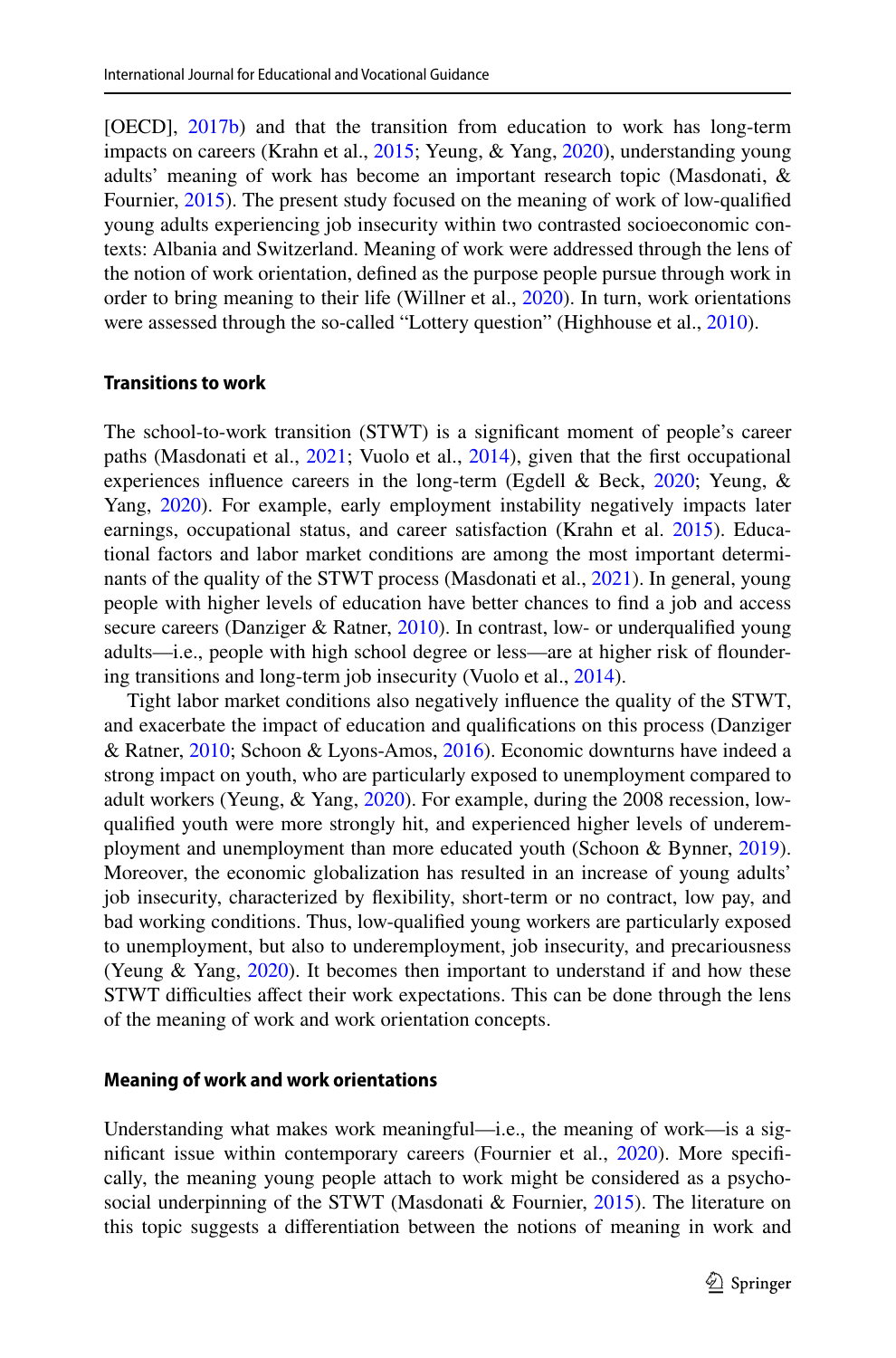[OECD], [2017b](#page-17-3)) and that the transition from education to work has long-term impacts on careers (Krahn et al., [2015](#page-17-4); Yeung, & Yang, [2020\)](#page-18-1), understanding young adults' meaning of work has become an important research topic (Masdonati, & Fournier, [2015](#page-16-5)). The present study focused on the meaning of work of low-qualifed young adults experiencing job insecurity within two contrasted socioeconomic contexts: Albania and Switzerland. Meaning of work were addressed through the lens of the notion of work orientation, defned as the purpose people pursue through work in order to bring meaning to their life (Willner et al., [2020](#page-18-2)). In turn, work orientations were assessed through the so-called "Lottery question" (Highhouse et al., [2010\)](#page-17-5).

#### **Transitions to work**

The school-to-work transition (STWT) is a signifcant moment of people's career paths (Masdonati et al., [2021](#page-16-6); Vuolo et al., [2014](#page-18-3)), given that the first occupational experiences infuence careers in the long-term (Egdell & Beck, [2020;](#page-16-7) Yeung, & Yang, [2020\)](#page-18-1). For example, early employment instability negatively impacts later earnings, occupational status, and career satisfaction (Krahn et al. [2015](#page-17-4)). Educational factors and labor market conditions are among the most important determinants of the quality of the STWT process (Masdonati et al., [2021](#page-16-6)). In general, young people with higher levels of education have better chances to fnd a job and access secure careers (Danziger & Ratner, [2010](#page-16-8)). In contrast, low- or underqualified young adults—i.e., people with high school degree or less—are at higher risk of foundering transitions and long-term job insecurity (Vuolo et al., [2014\)](#page-18-3).

Tight labor market conditions also negatively infuence the quality of the STWT, and exacerbate the impact of education and qualifcations on this process (Danziger & Ratner, [2010;](#page-16-8) Schoon & Lyons-Amos, [2016](#page-17-6)). Economic downturns have indeed a strong impact on youth, who are particularly exposed to unemployment compared to adult workers (Yeung, & Yang, [2020\)](#page-18-1). For example, during the 2008 recession, lowqualifed youth were more strongly hit, and experienced higher levels of underemployment and unemployment than more educated youth (Schoon & Bynner, [2019\)](#page-17-7). Moreover, the economic globalization has resulted in an increase of young adults' job insecurity, characterized by fexibility, short-term or no contract, low pay, and bad working conditions. Thus, low-qualifed young workers are particularly exposed to unemployment, but also to underemployment, job insecurity, and precariousness (Yeung  $& Yang, 2020$ ). It becomes then important to understand if and how these STWT difficulties affect their work expectations. This can be done through the lens of the meaning of work and work orientation concepts.

### **Meaning of work and work orientations**

Understanding what makes work meaningful—i.e., the meaning of work—is a sig-nificant issue within contemporary careers (Fournier et al., [2020\)](#page-16-3). More specifically, the meaning young people attach to work might be considered as a psycho-social underpinning of the STWT (Masdonati & Fournier, [2015](#page-16-5)). The literature on this topic suggests a diferentiation between the notions of meaning in work and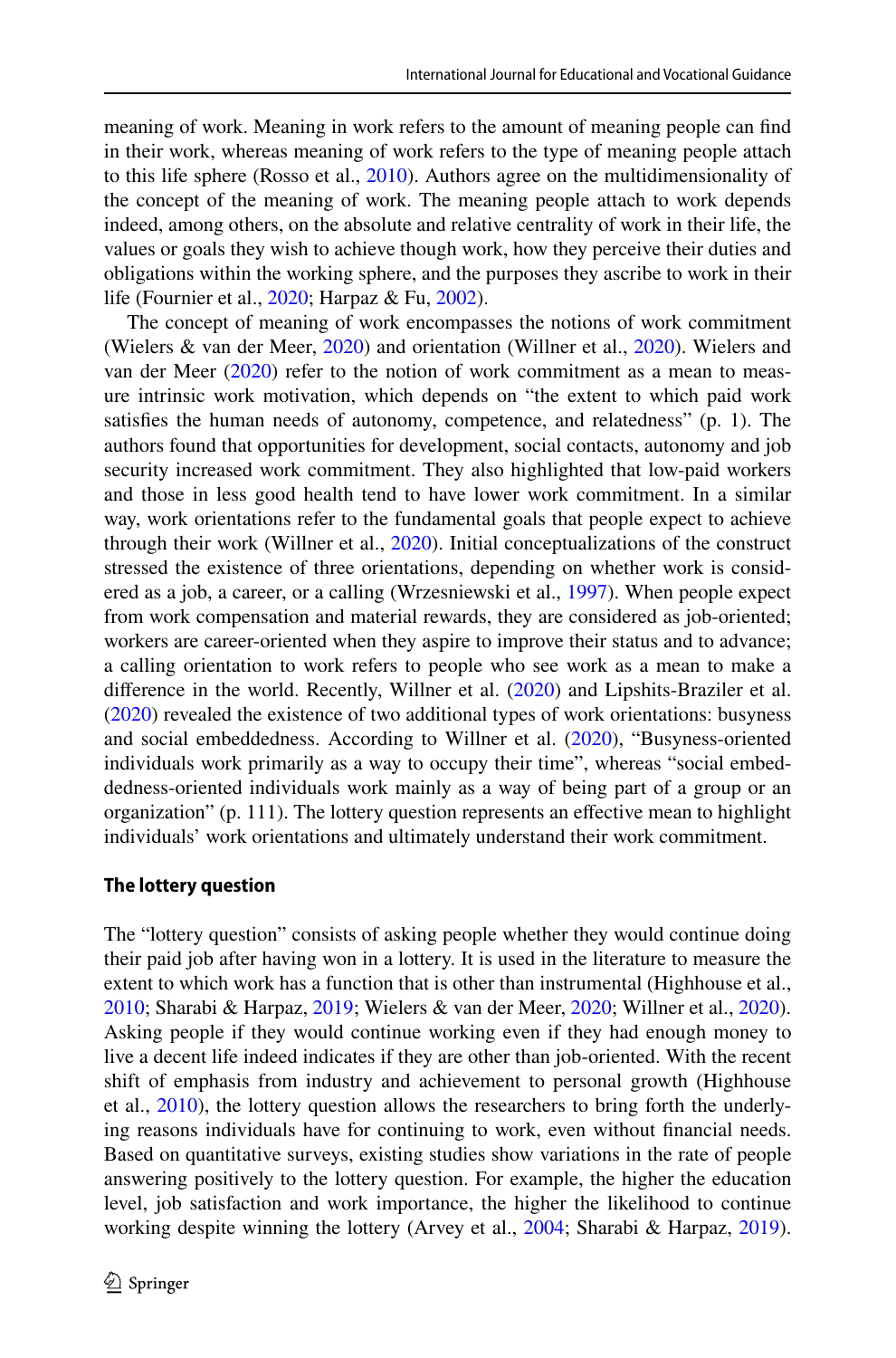meaning of work. Meaning in work refers to the amount of meaning people can fnd in their work, whereas meaning of work refers to the type of meaning people attach to this life sphere (Rosso et al., [2010\)](#page-17-8). Authors agree on the multidimensionality of the concept of the meaning of work. The meaning people attach to work depends indeed, among others, on the absolute and relative centrality of work in their life, the values or goals they wish to achieve though work, how they perceive their duties and obligations within the working sphere, and the purposes they ascribe to work in their life (Fournier et al., [2020](#page-16-3); Harpaz & Fu, [2002](#page-17-9)).

The concept of meaning of work encompasses the notions of work commitment (Wielers & van der Meer, [2020\)](#page-18-4) and orientation (Willner et al., [2020](#page-18-2)). Wielers and van der Meer  $(2020)$  $(2020)$  refer to the notion of work commitment as a mean to measure intrinsic work motivation, which depends on "the extent to which paid work satisfes the human needs of autonomy, competence, and relatedness" (p. 1). The authors found that opportunities for development, social contacts, autonomy and job security increased work commitment. They also highlighted that low-paid workers and those in less good health tend to have lower work commitment. In a similar way, work orientations refer to the fundamental goals that people expect to achieve through their work (Willner et al.,  $2020$ ). Initial conceptualizations of the construct stressed the existence of three orientations, depending on whether work is considered as a job, a career, or a calling (Wrzesniewski et al., [1997](#page-18-5)). When people expect from work compensation and material rewards, they are considered as job-oriented; workers are career-oriented when they aspire to improve their status and to advance; a calling orientation to work refers to people who see work as a mean to make a diference in the world. Recently, Willner et al. [\(2020](#page-18-2)) and Lipshits-Braziler et al. [\(2020](#page-17-10)) revealed the existence of two additional types of work orientations: busyness and social embeddedness. According to Willner et al. [\(2020](#page-18-2)), "Busyness-oriented individuals work primarily as a way to occupy their time", whereas "social embeddedness-oriented individuals work mainly as a way of being part of a group or an organization" (p. 111). The lottery question represents an efective mean to highlight individuals' work orientations and ultimately understand their work commitment.

#### **The lottery question**

The "lottery question" consists of asking people whether they would continue doing their paid job after having won in a lottery. It is used in the literature to measure the extent to which work has a function that is other than instrumental (Highhouse et al., [2010](#page-17-5); Sharabi & Harpaz, [2019;](#page-17-11) Wielers & van der Meer, [2020](#page-18-4); Willner et al., [2020\)](#page-18-2). Asking people if they would continue working even if they had enough money to live a decent life indeed indicates if they are other than job-oriented. With the recent shift of emphasis from industry and achievement to personal growth (Highhouse et al., [2010\)](#page-17-5), the lottery question allows the researchers to bring forth the underlying reasons individuals have for continuing to work, even without fnancial needs. Based on quantitative surveys, existing studies show variations in the rate of people answering positively to the lottery question. For example, the higher the education level, job satisfaction and work importance, the higher the likelihood to continue working despite winning the lottery (Arvey et al., [2004;](#page-16-9) Sharabi & Harpaz, [2019\)](#page-17-11).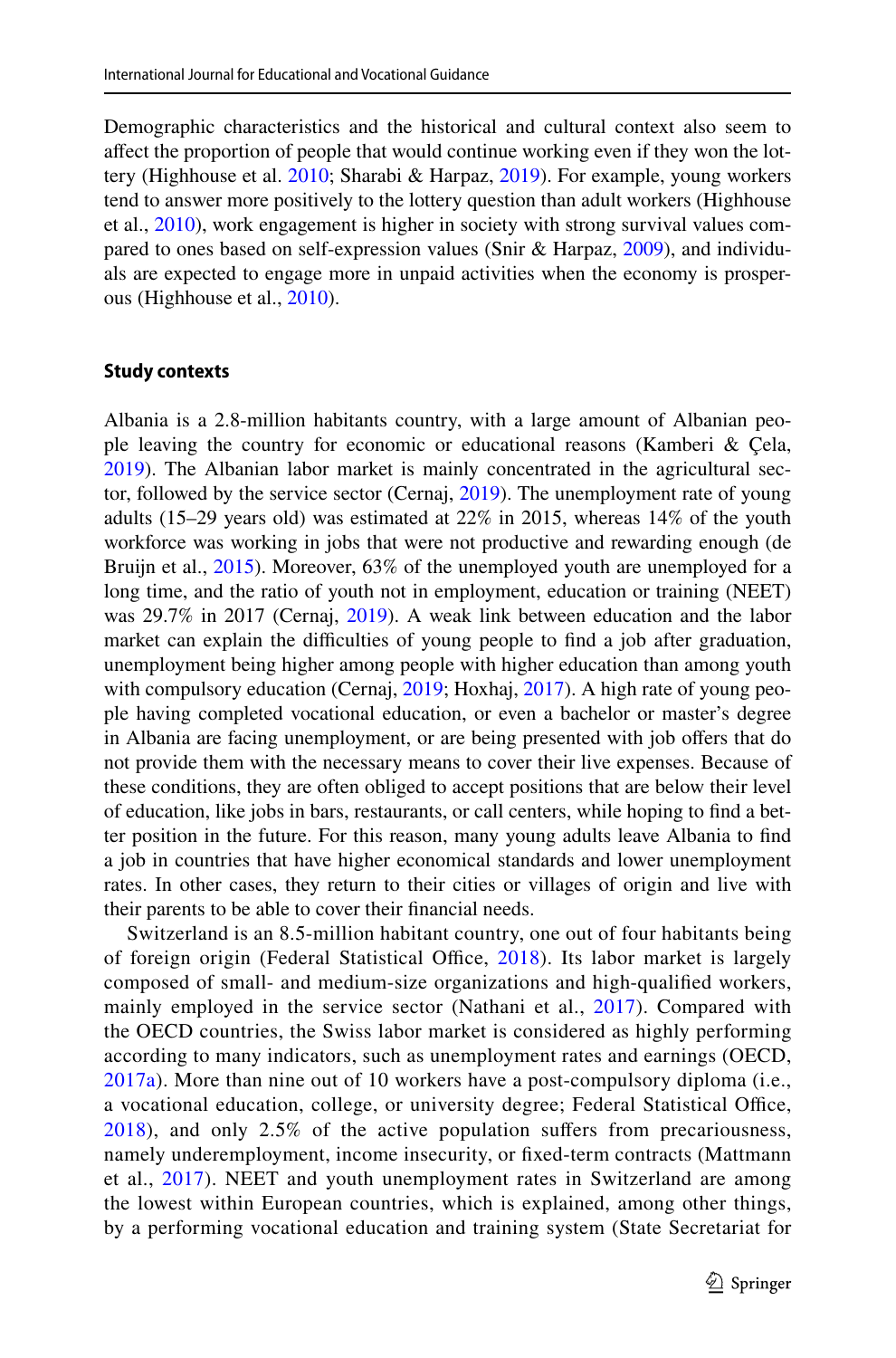Demographic characteristics and the historical and cultural context also seem to afect the proportion of people that would continue working even if they won the lottery (Highhouse et al. [2010](#page-17-5); Sharabi & Harpaz, [2019](#page-17-11)). For example, young workers tend to answer more positively to the lottery question than adult workers (Highhouse et al., [2010\)](#page-17-5), work engagement is higher in society with strong survival values compared to ones based on self-expression values (Snir & Harpaz, [2009\)](#page-17-12), and individuals are expected to engage more in unpaid activities when the economy is prosperous (Highhouse et al., [2010\)](#page-17-5).

#### **Study contexts**

Albania is a 2.8-million habitants country, with a large amount of Albanian people leaving the country for economic or educational reasons (Kamberi & Çela, [2019](#page-17-13)). The Albanian labor market is mainly concentrated in the agricultural sector, followed by the service sector (Cernaj, [2019](#page-16-10)). The unemployment rate of young adults (15–29 years old) was estimated at 22% in 2015, whereas 14% of the youth workforce was working in jobs that were not productive and rewarding enough (de Bruijn et al., [2015\)](#page-16-11). Moreover, 63% of the unemployed youth are unemployed for a long time, and the ratio of youth not in employment, education or training (NEET) was 29.7% in 2017 (Cernaj, [2019](#page-16-10)). A weak link between education and the labor market can explain the difficulties of young people to find a job after graduation, unemployment being higher among people with higher education than among youth with compulsory education (Cernaj, [2019;](#page-16-10) Hoxhaj, [2017\)](#page-17-14). A high rate of young people having completed vocational education, or even a bachelor or master's degree in Albania are facing unemployment, or are being presented with job ofers that do not provide them with the necessary means to cover their live expenses. Because of these conditions, they are often obliged to accept positions that are below their level of education, like jobs in bars, restaurants, or call centers, while hoping to fnd a better position in the future. For this reason, many young adults leave Albania to fnd a job in countries that have higher economical standards and lower unemployment rates. In other cases, they return to their cities or villages of origin and live with their parents to be able to cover their fnancial needs.

Switzerland is an 8.5-million habitant country, one out of four habitants being of foreign origin (Federal Statistical Office, [2018](#page-16-12)). Its labor market is largely composed of small- and medium-size organizations and high-qualifed workers, mainly employed in the service sector (Nathani et al., [2017](#page-17-15)). Compared with the OECD countries, the Swiss labor market is considered as highly performing according to many indicators, such as unemployment rates and earnings (OECD, [2017a](#page-17-16)). More than nine out of 10 workers have a post-compulsory diploma (i.e., a vocational education, college, or university degree; Federal Statistical Office, [2018\)](#page-16-12), and only 2.5% of the active population sufers from precariousness, namely underemployment, income insecurity, or fxed-term contracts (Mattmann et al., [2017](#page-17-17)). NEET and youth unemployment rates in Switzerland are among the lowest within European countries, which is explained, among other things, by a performing vocational education and training system (State Secretariat for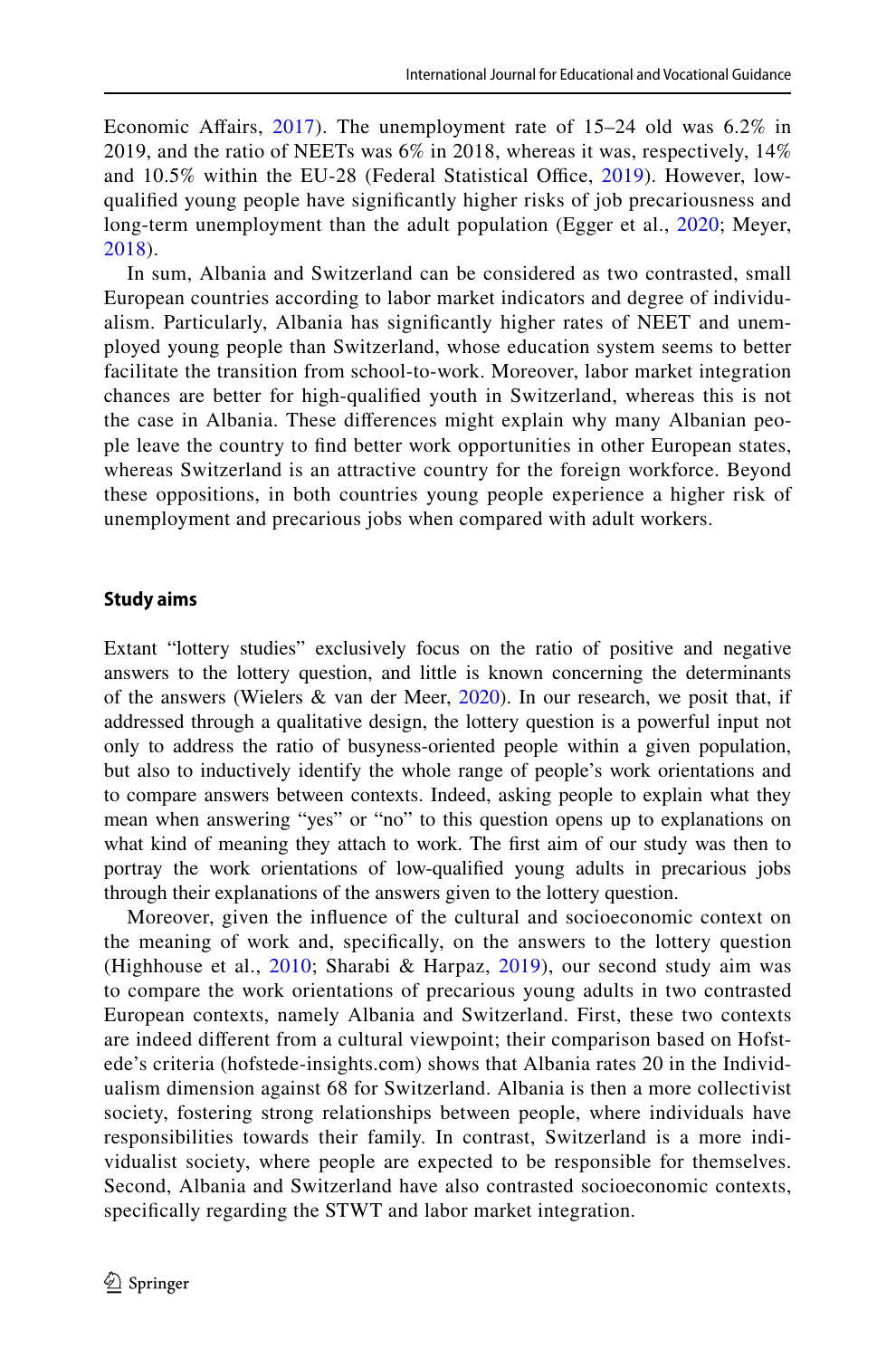Economic Afairs, [2017\)](#page-17-18). The unemployment rate of 15–24 old was 6.2% in 2019, and the ratio of NEETs was  $6\%$  in 2018, whereas it was, respectively, 14% and 10.5% within the EU-28 (Federal Statistical Office, [2019](#page-16-13)). However, lowqualifed young people have signifcantly higher risks of job precariousness and long-term unemployment than the adult population (Egger et al., [2020;](#page-16-14) Meyer, [2018\)](#page-17-19).

In sum, Albania and Switzerland can be considered as two contrasted, small European countries according to labor market indicators and degree of individualism. Particularly, Albania has signifcantly higher rates of NEET and unemployed young people than Switzerland, whose education system seems to better facilitate the transition from school-to-work. Moreover, labor market integration chances are better for high-qualifed youth in Switzerland, whereas this is not the case in Albania. These diferences might explain why many Albanian people leave the country to fnd better work opportunities in other European states, whereas Switzerland is an attractive country for the foreign workforce. Beyond these oppositions, in both countries young people experience a higher risk of unemployment and precarious jobs when compared with adult workers.

### **Study aims**

Extant "lottery studies" exclusively focus on the ratio of positive and negative answers to the lottery question, and little is known concerning the determinants of the answers (Wielers & van der Meer, [2020](#page-18-4)). In our research, we posit that, if addressed through a qualitative design, the lottery question is a powerful input not only to address the ratio of busyness-oriented people within a given population, but also to inductively identify the whole range of people's work orientations and to compare answers between contexts. Indeed, asking people to explain what they mean when answering "yes" or "no" to this question opens up to explanations on what kind of meaning they attach to work. The frst aim of our study was then to portray the work orientations of low-qualifed young adults in precarious jobs through their explanations of the answers given to the lottery question.

Moreover, given the infuence of the cultural and socioeconomic context on the meaning of work and, specifcally, on the answers to the lottery question (Highhouse et al., [2010;](#page-17-5) Sharabi & Harpaz, [2019\)](#page-17-11), our second study aim was to compare the work orientations of precarious young adults in two contrasted European contexts, namely Albania and Switzerland. First, these two contexts are indeed diferent from a cultural viewpoint; their comparison based on Hofstede's criteria (hofstede-insights.com) shows that Albania rates 20 in the Individualism dimension against 68 for Switzerland. Albania is then a more collectivist society, fostering strong relationships between people, where individuals have responsibilities towards their family. In contrast, Switzerland is a more individualist society, where people are expected to be responsible for themselves. Second, Albania and Switzerland have also contrasted socioeconomic contexts, specifcally regarding the STWT and labor market integration.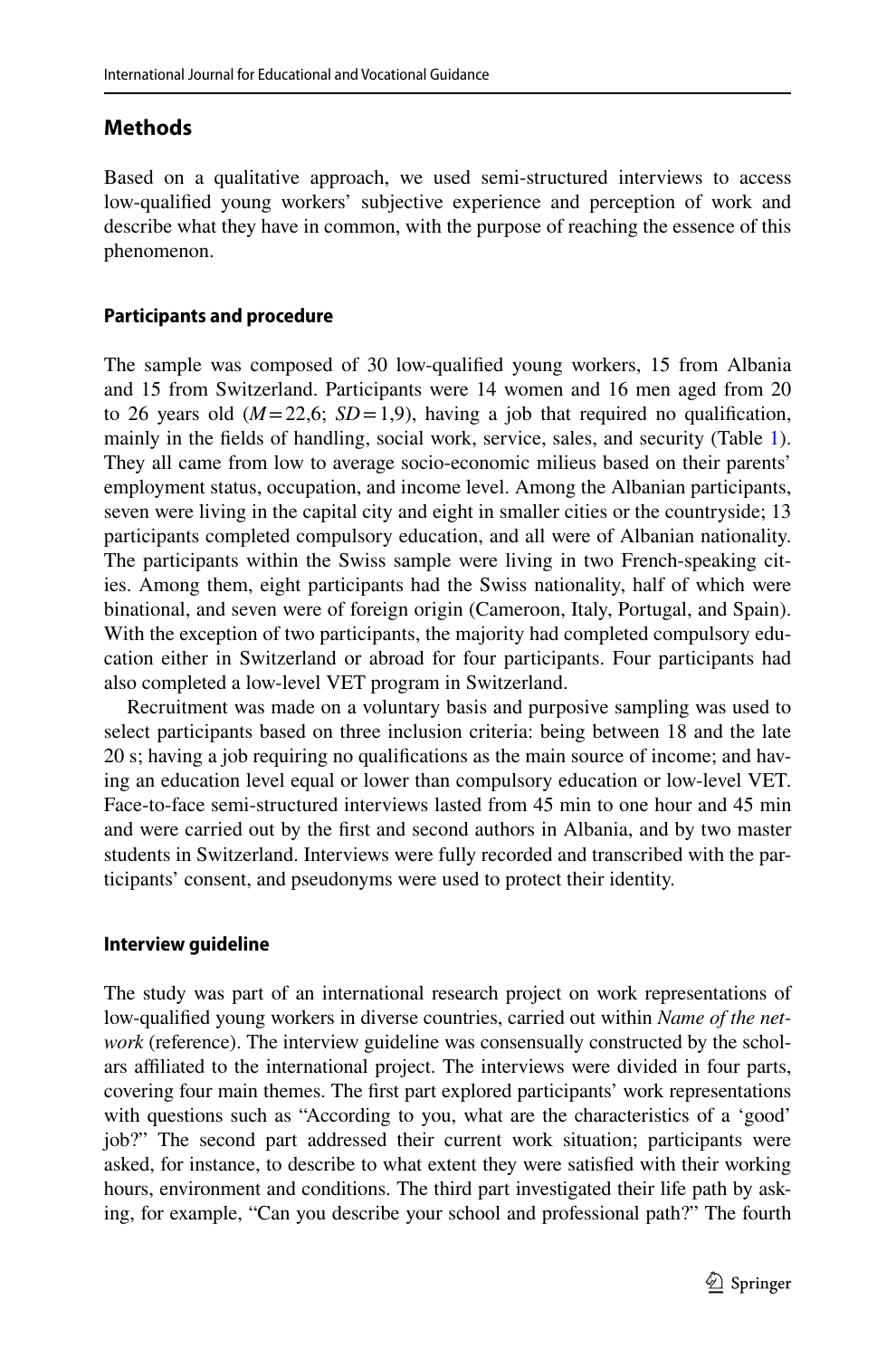## **Methods**

Based on a qualitative approach, we used semi-structured interviews to access low-qualifed young workers' subjective experience and perception of work and describe what they have in common, with the purpose of reaching the essence of this phenomenon.

### **Participants and procedure**

The sample was composed of 30 low-qualifed young workers, 15 from Albania and 15 from Switzerland. Participants were 14 women and 16 men aged from 20 to 26 years old  $(M=22,6; SD=1,9)$ , having a job that required no qualification, mainly in the felds of handling, social work, service, sales, and security (Table [1\)](#page-7-0). They all came from low to average socio-economic milieus based on their parents' employment status, occupation, and income level. Among the Albanian participants, seven were living in the capital city and eight in smaller cities or the countryside; 13 participants completed compulsory education, and all were of Albanian nationality. The participants within the Swiss sample were living in two French-speaking cities. Among them, eight participants had the Swiss nationality, half of which were binational, and seven were of foreign origin (Cameroon, Italy, Portugal, and Spain). With the exception of two participants, the majority had completed compulsory education either in Switzerland or abroad for four participants. Four participants had also completed a low-level VET program in Switzerland.

Recruitment was made on a voluntary basis and purposive sampling was used to select participants based on three inclusion criteria: being between 18 and the late 20 s; having a job requiring no qualifcations as the main source of income; and having an education level equal or lower than compulsory education or low-level VET. Face-to-face semi-structured interviews lasted from 45 min to one hour and 45 min and were carried out by the frst and second authors in Albania, and by two master students in Switzerland. Interviews were fully recorded and transcribed with the participants' consent, and pseudonyms were used to protect their identity.

### **Interview guideline**

The study was part of an international research project on work representations of low-qualifed young workers in diverse countries, carried out within *Name of the network* (reference). The interview guideline was consensually constructed by the scholars afliated to the international project. The interviews were divided in four parts, covering four main themes. The frst part explored participants' work representations with questions such as "According to you, what are the characteristics of a 'good' job?" The second part addressed their current work situation; participants were asked, for instance, to describe to what extent they were satisfed with their working hours, environment and conditions. The third part investigated their life path by asking, for example, "Can you describe your school and professional path?" The fourth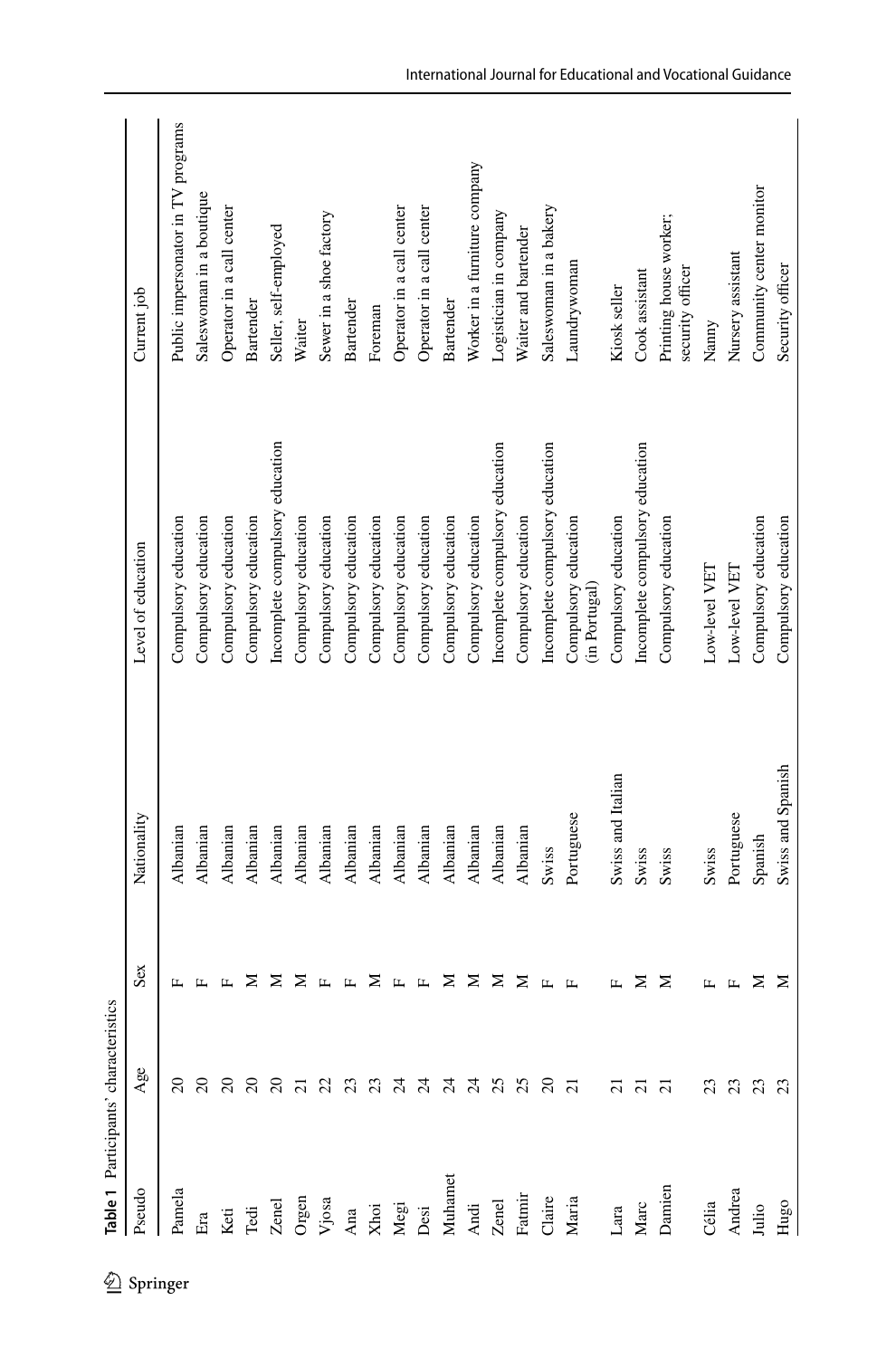<span id="page-7-0"></span>

|            |                | lable 1 Participants' characteristics |                       |                   |                                       |                                            |
|------------|----------------|---------------------------------------|-----------------------|-------------------|---------------------------------------|--------------------------------------------|
| 2 Springer | Pseudo         | Age                                   | Sex                   | Nationality       | Level of education                    | Current job                                |
|            | Pamela         | $\Omega$                              |                       | Albanian          | Compulsory education                  | Public impersonator in TV programs         |
|            | Era            |                                       |                       | Albanian          | Compulsory education                  | Saleswoman in a boutique                   |
|            | Keti           |                                       |                       | Albanian          | Compulsory education                  | Operator in a call center                  |
|            | ${\rm Ted}$    |                                       | ⋝                     | Albanian          | Compulsory education                  | Bartender                                  |
|            | Zenel          | a a a a a a a a a a a a a a a a       | ⋝                     | Albanian          | Incomplete compulsory education       | Seller, self-employed                      |
|            |                |                                       | ⋝                     | Albanian          | Compulsory education                  | Waiter                                     |
|            | Orgen<br>Vjosa |                                       | $\mathbb{L}$          | Albanian          | Compulsory education                  | Sewer in a shoe factory                    |
|            | Ana            |                                       | $\boxed{\phantom{a}}$ | Albanian          | Compulsory education                  | <b>Bartender</b>                           |
|            |                |                                       | ⋝                     | Albanian          | Compulsory education                  | Foreman                                    |
|            | Xhoi<br>Megi   |                                       | $\mathbb{L}$          | Albanian          | Compulsory education                  | Operator in a call center                  |
|            | Desi           |                                       | $\boxed{1}$           | Albanian          | Compulsory education                  | Operator in a call center                  |
|            | Muhamet        |                                       | ⋝                     | Albanian          | Compulsory education                  | Bartender                                  |
|            | Andi           |                                       | z                     | Albanian          | Compulsory education                  | Worker in a furniture company              |
|            | Zenel          |                                       | z                     | Albanian          | Incomplete compulsory education       | Logistician in company                     |
|            | Fatmir         |                                       | ≅                     | Albanian          | Compulsory education                  | Waiter and bartender                       |
|            | Claire         |                                       | $\boxed{\phantom{a}}$ | Swiss             | Incomplete compulsory education       | Saleswoman in a bakery                     |
|            | Maria          |                                       |                       | Portuguese        | Compulsory education<br>(in Portugal) | Laundrywoman                               |
|            | Lara           | $\overline{a}$                        | ĹL,                   | Swiss and Italian | Compulsory education                  | Kiosk seller                               |
|            | Marc           | $\overline{\Omega}$                   | ≅                     | Swiss             | Incomplete compulsory education       | Cook assistant                             |
|            | Damien         | ៑                                     | ⋝                     | Swiss             | Compulsory education                  | Printing house worker;<br>security officer |
|            | Célia          |                                       | L.                    | Swiss             | Low-level VET                         | Nanny                                      |
|            | Andrea         |                                       | $\mathbf{L}$          | Portuguese        | Low-level VET                         | Nursery assistant                          |
|            | Julio          | ដ ដ ដ ដ                               | ≅                     | Spanish           | Compulsory education                  | Community center monitor                   |
|            | Hugo           |                                       | ≅                     | Swiss and Spanish | Compulsory education                  | Security officer                           |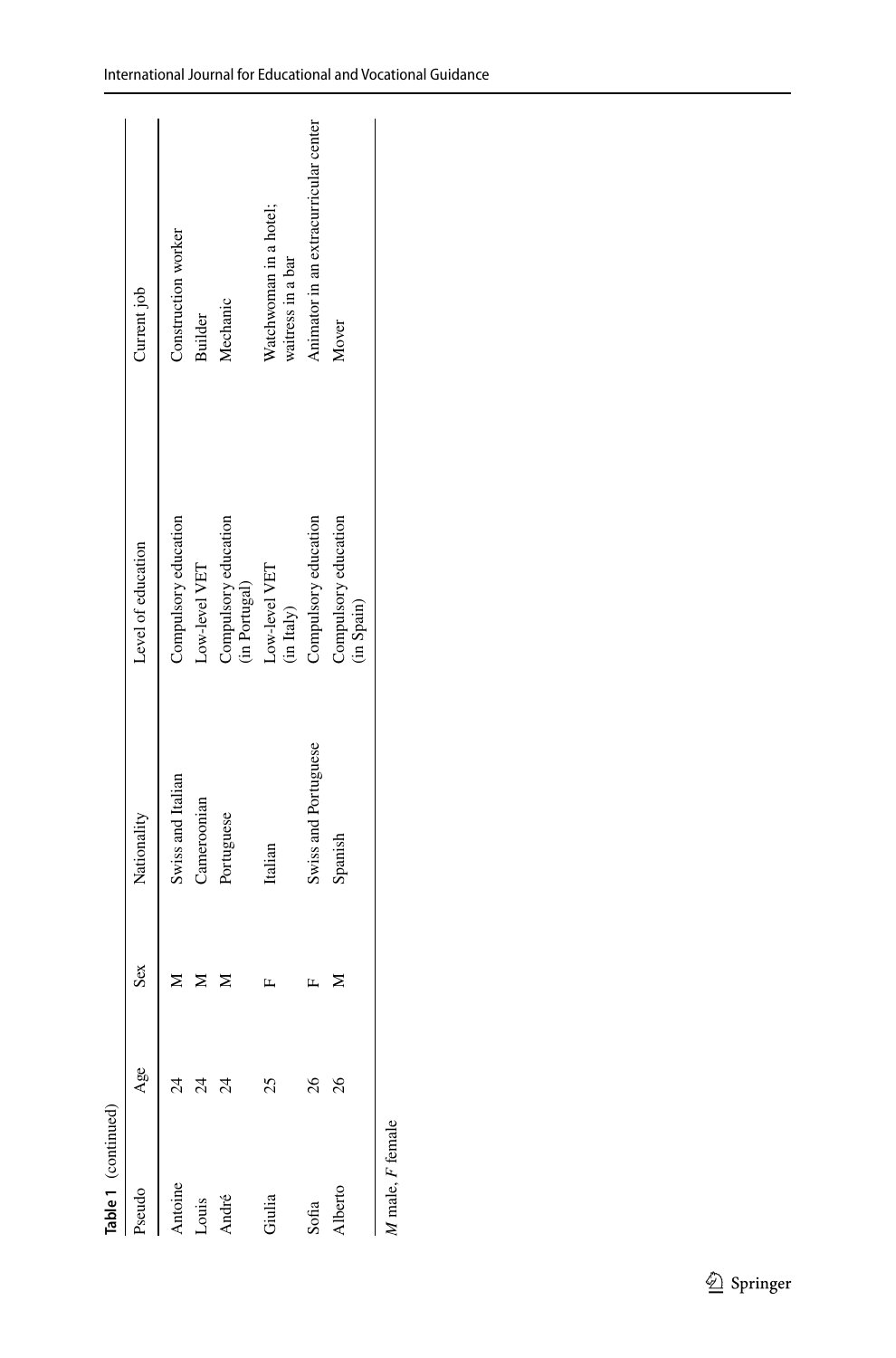| able 1 (continued) |                 |     |                      |                                       |                                             |
|--------------------|-----------------|-----|----------------------|---------------------------------------|---------------------------------------------|
|                    |                 | Sex | Nationality          | Level of education                    | Current job                                 |
|                    |                 |     | Swiss and Italian    | Compulsory education                  | Construction worker                         |
| ouis               | $\frac{4}{3}$   |     | Cameroonian          | Low-level VET                         | <b>Builder</b>                              |
| undré              | $\overline{24}$ |     | Portuguese           | Compulsory education<br>(in Portugal) | Mechanic                                    |
| Jiulia             | 25              |     | Italian              | Low-level VET<br>(in Italy)           | Watchwoman in a hotel;<br>waitress in a bar |
| Sofia              | 26              |     | Swiss and Portuguese | Compulsory education                  | Animator in an extracurricular center       |
|                    | 26              |     | Spanish              | Compulsory education<br>(in Spain)    | Mover                                       |
|                    |                 |     |                      |                                       |                                             |

*M* male, *F* female *F* female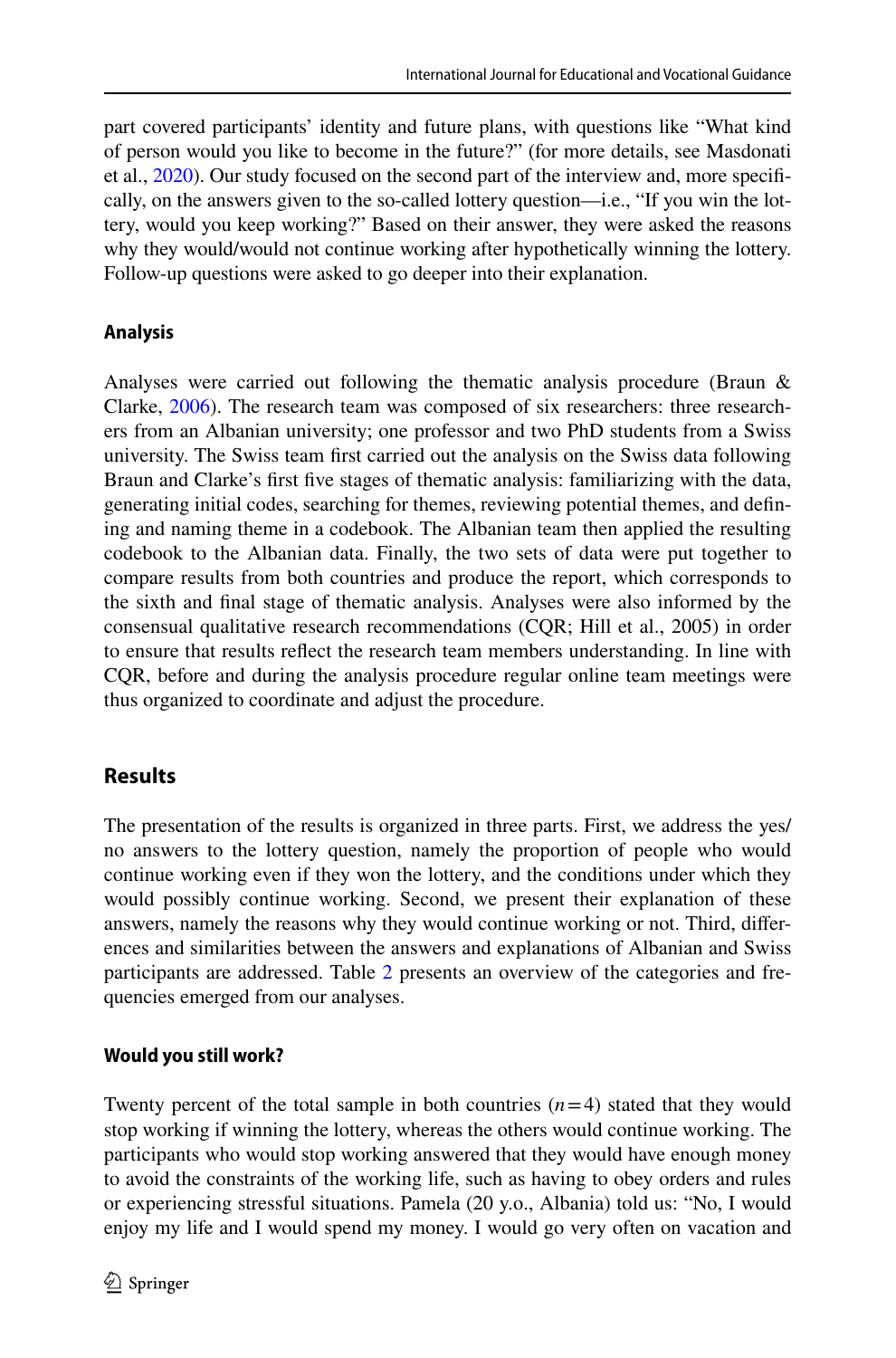part covered participants' identity and future plans, with questions like "What kind of person would you like to become in the future?" (for more details, see Masdonati et al., [2020\)](#page-16-15). Our study focused on the second part of the interview and, more specifcally, on the answers given to the so-called lottery question—i.e., "If you win the lottery, would you keep working?" Based on their answer, they were asked the reasons why they would/would not continue working after hypothetically winning the lottery. Follow-up questions were asked to go deeper into their explanation.

## **Analysis**

Analyses were carried out following the thematic analysis procedure (Braun & Clarke, [2006](#page-16-16)). The research team was composed of six researchers: three researchers from an Albanian university; one professor and two PhD students from a Swiss university. The Swiss team frst carried out the analysis on the Swiss data following Braun and Clarke's frst fve stages of thematic analysis: familiarizing with the data, generating initial codes, searching for themes, reviewing potential themes, and defning and naming theme in a codebook. The Albanian team then applied the resulting codebook to the Albanian data. Finally, the two sets of data were put together to compare results from both countries and produce the report, which corresponds to the sixth and fnal stage of thematic analysis. Analyses were also informed by the consensual qualitative research recommendations (CQR; Hill et al., 2005) in order to ensure that results refect the research team members understanding. In line with CQR, before and during the analysis procedure regular online team meetings were thus organized to coordinate and adjust the procedure.

# **Results**

The presentation of the results is organized in three parts. First, we address the yes/ no answers to the lottery question, namely the proportion of people who would continue working even if they won the lottery, and the conditions under which they would possibly continue working. Second, we present their explanation of these answers, namely the reasons why they would continue working or not. Third, diferences and similarities between the answers and explanations of Albanian and Swiss participants are addressed. Table [2](#page-10-0) presents an overview of the categories and frequencies emerged from our analyses.

## **Would you still work?**

Twenty percent of the total sample in both countries  $(n=4)$  stated that they would stop working if winning the lottery, whereas the others would continue working. The participants who would stop working answered that they would have enough money to avoid the constraints of the working life, such as having to obey orders and rules or experiencing stressful situations. Pamela (20 y.o., Albania) told us: "No, I would enjoy my life and I would spend my money. I would go very often on vacation and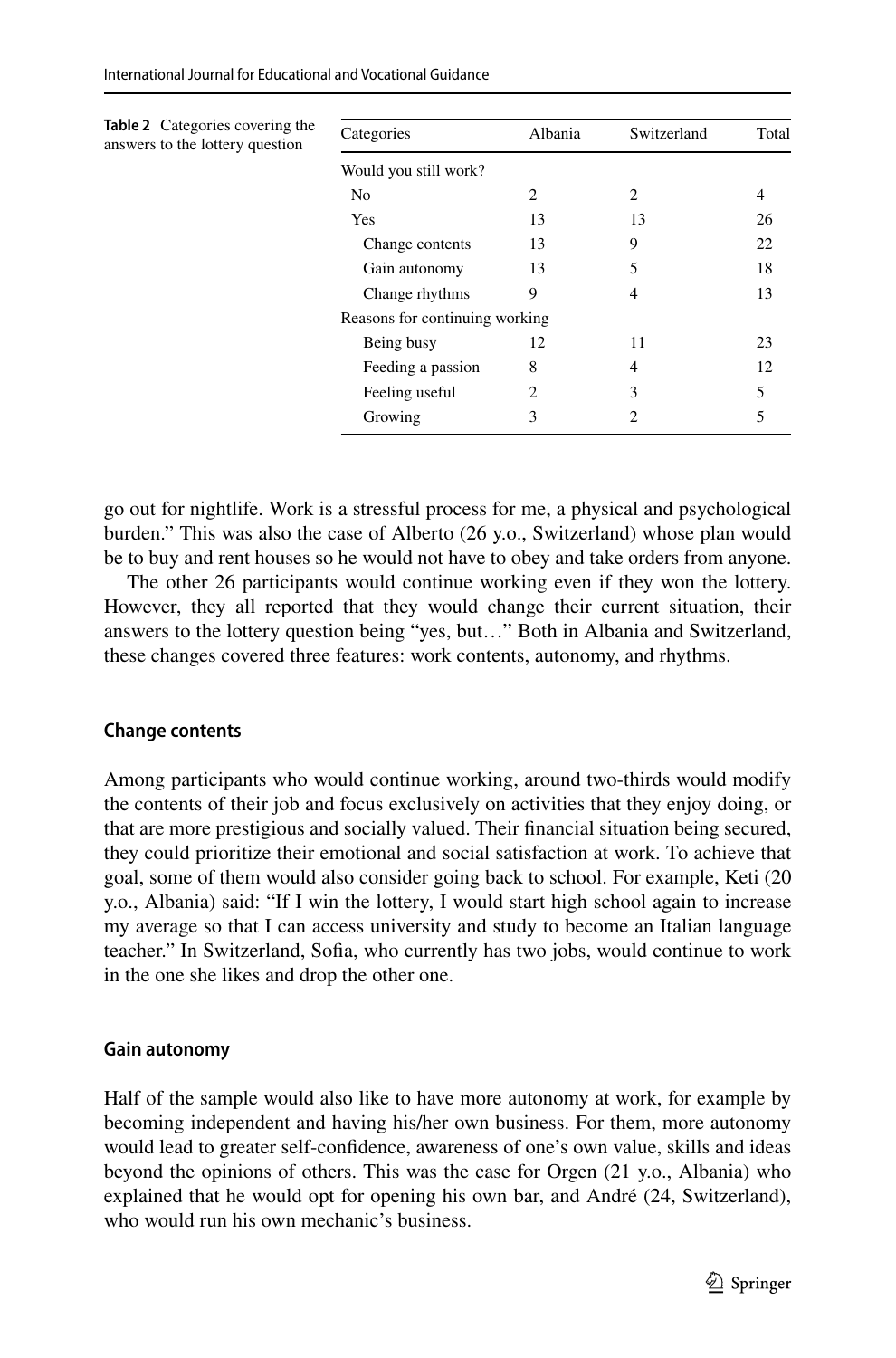<span id="page-10-0"></span>

| <b>Table 2</b> Categories covering the<br>answers to the lottery question | Categories                     | Albania | Switzerland | Total |
|---------------------------------------------------------------------------|--------------------------------|---------|-------------|-------|
|                                                                           | Would you still work?          |         |             |       |
|                                                                           | N <sub>0</sub>                 | 2       | 2           | 4     |
|                                                                           | Yes                            | 13      | 13          | 26    |
|                                                                           | Change contents                | 13      | 9           | 22    |
|                                                                           | Gain autonomy                  | 13      | 5           | 18    |
|                                                                           | Change rhythms                 | 9       | 4           | 13    |
|                                                                           | Reasons for continuing working |         |             |       |
|                                                                           | Being busy                     | 12      | 11          | 23    |
|                                                                           | Feeding a passion              | 8       | 4           | 12    |
|                                                                           | Feeling useful                 | 2       | 3           | 5     |
|                                                                           | Growing                        | 3       | 2           | 5     |

go out for nightlife. Work is a stressful process for me, a physical and psychological burden." This was also the case of Alberto (26 y.o., Switzerland) whose plan would be to buy and rent houses so he would not have to obey and take orders from anyone.

The other 26 participants would continue working even if they won the lottery. However, they all reported that they would change their current situation, their answers to the lottery question being "yes, but…" Both in Albania and Switzerland, these changes covered three features: work contents, autonomy, and rhythms.

### **Change contents**

Among participants who would continue working, around two-thirds would modify the contents of their job and focus exclusively on activities that they enjoy doing, or that are more prestigious and socially valued. Their fnancial situation being secured, they could prioritize their emotional and social satisfaction at work. To achieve that goal, some of them would also consider going back to school. For example, Keti (20 y.o., Albania) said: "If I win the lottery, I would start high school again to increase my average so that I can access university and study to become an Italian language teacher." In Switzerland, Sofa, who currently has two jobs, would continue to work in the one she likes and drop the other one.

#### **Gain autonomy**

Half of the sample would also like to have more autonomy at work, for example by becoming independent and having his/her own business. For them, more autonomy would lead to greater self-confdence, awareness of one's own value, skills and ideas beyond the opinions of others. This was the case for Orgen (21 y.o., Albania) who explained that he would opt for opening his own bar, and André (24, Switzerland), who would run his own mechanic's business.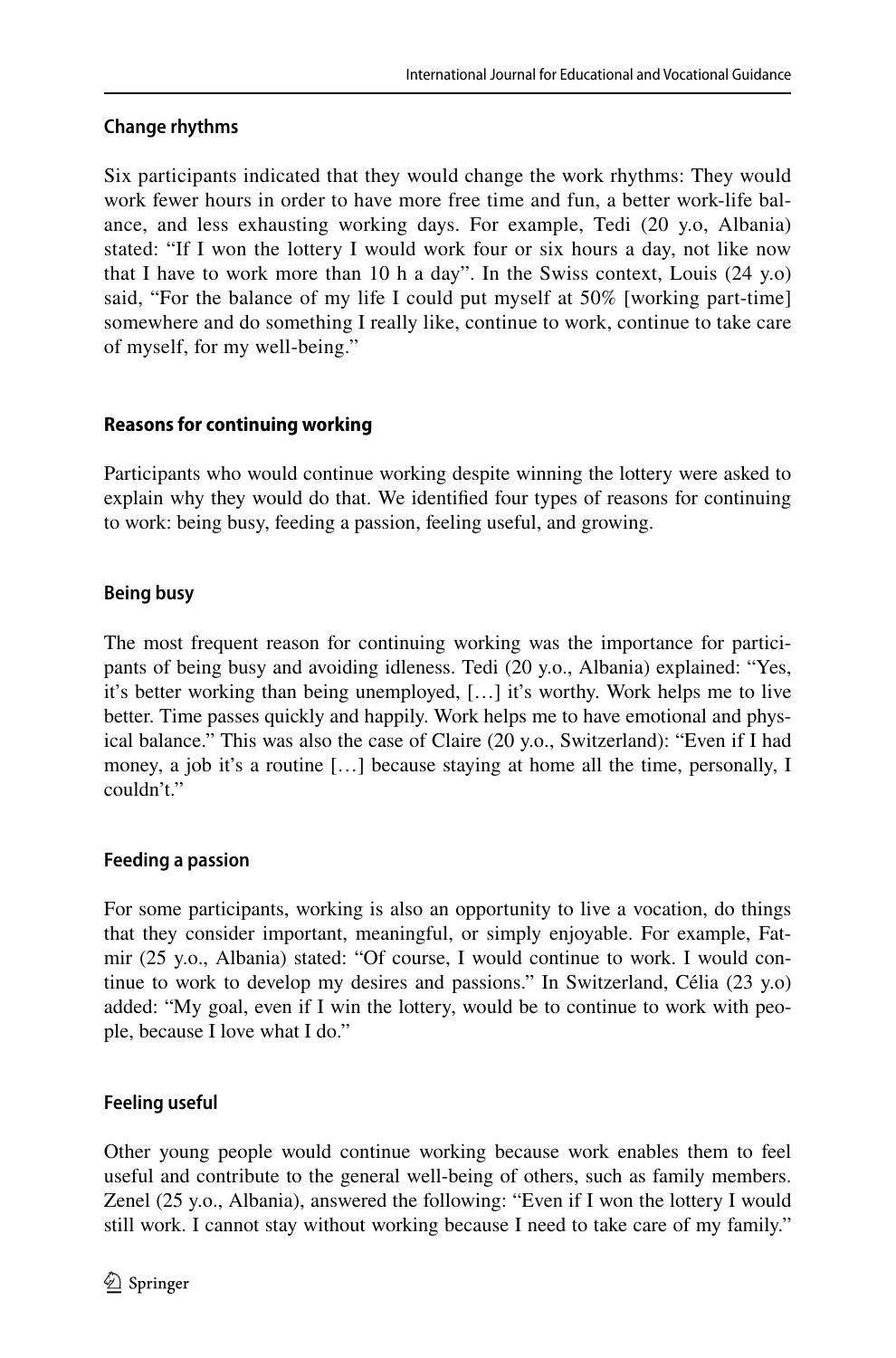## **Change rhythms**

Six participants indicated that they would change the work rhythms: They would work fewer hours in order to have more free time and fun, a better work-life balance, and less exhausting working days. For example, Tedi (20 y.o, Albania) stated: "If I won the lottery I would work four or six hours a day, not like now that I have to work more than 10 h a day". In the Swiss context, Louis (24 y.o) said, "For the balance of my life I could put myself at 50% [working part-time] somewhere and do something I really like, continue to work, continue to take care of myself, for my well-being."

## **Reasons for continuing working**

Participants who would continue working despite winning the lottery were asked to explain why they would do that. We identifed four types of reasons for continuing to work: being busy, feeding a passion, feeling useful, and growing.

## **Being busy**

The most frequent reason for continuing working was the importance for participants of being busy and avoiding idleness. Tedi (20 y.o., Albania) explained: "Yes, it's better working than being unemployed, […] it's worthy. Work helps me to live better. Time passes quickly and happily. Work helps me to have emotional and physical balance." This was also the case of Claire (20 y.o., Switzerland): "Even if I had money, a job it's a routine […] because staying at home all the time, personally, I couldn't"

### **Feeding a passion**

For some participants, working is also an opportunity to live a vocation, do things that they consider important, meaningful, or simply enjoyable. For example, Fatmir (25 y.o., Albania) stated: "Of course, I would continue to work. I would continue to work to develop my desires and passions." In Switzerland, Célia (23 y.o) added: "My goal, even if I win the lottery, would be to continue to work with people, because I love what I do."

## **Feeling useful**

Other young people would continue working because work enables them to feel useful and contribute to the general well-being of others, such as family members. Zenel (25 y.o., Albania), answered the following: "Even if I won the lottery I would still work. I cannot stay without working because I need to take care of my family."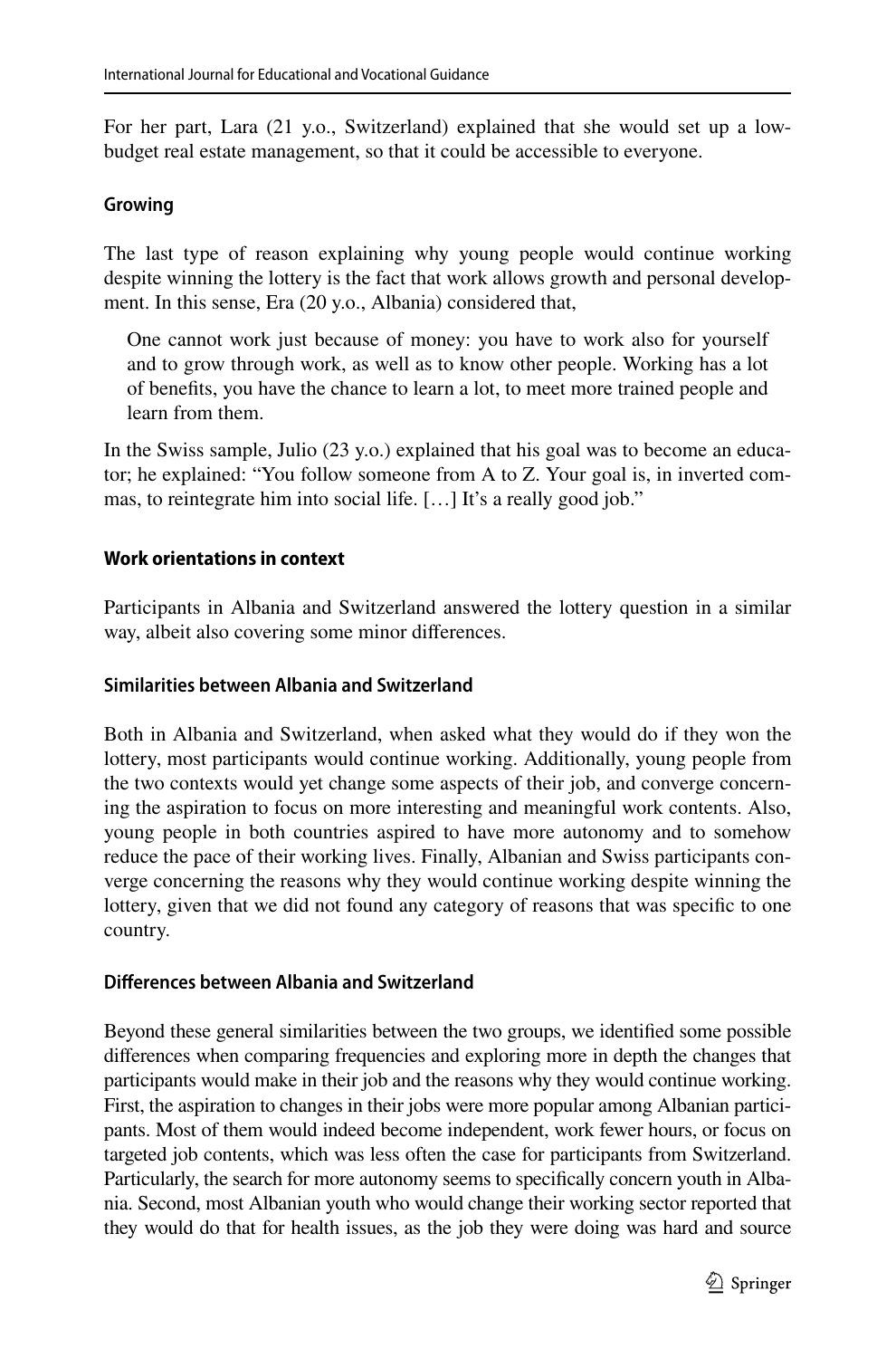For her part, Lara (21 y.o., Switzerland) explained that she would set up a lowbudget real estate management, so that it could be accessible to everyone.

## **Growing**

The last type of reason explaining why young people would continue working despite winning the lottery is the fact that work allows growth and personal development. In this sense, Era (20 y.o., Albania) considered that,

One cannot work just because of money: you have to work also for yourself and to grow through work, as well as to know other people. Working has a lot of benefts, you have the chance to learn a lot, to meet more trained people and learn from them.

In the Swiss sample, Julio (23 y.o.) explained that his goal was to become an educator; he explained: "You follow someone from A to Z. Your goal is, in inverted commas, to reintegrate him into social life. […] It's a really good job."

## **Work orientations in context**

Participants in Albania and Switzerland answered the lottery question in a similar way, albeit also covering some minor diferences.

### **Similarities between Albania and Switzerland**

Both in Albania and Switzerland, when asked what they would do if they won the lottery, most participants would continue working. Additionally, young people from the two contexts would yet change some aspects of their job, and converge concerning the aspiration to focus on more interesting and meaningful work contents. Also, young people in both countries aspired to have more autonomy and to somehow reduce the pace of their working lives. Finally, Albanian and Swiss participants converge concerning the reasons why they would continue working despite winning the lottery, given that we did not found any category of reasons that was specifc to one country.

### **Diferences between Albania and Switzerland**

Beyond these general similarities between the two groups, we identifed some possible diferences when comparing frequencies and exploring more in depth the changes that participants would make in their job and the reasons why they would continue working. First, the aspiration to changes in their jobs were more popular among Albanian participants. Most of them would indeed become independent, work fewer hours, or focus on targeted job contents, which was less often the case for participants from Switzerland. Particularly, the search for more autonomy seems to specifcally concern youth in Albania. Second, most Albanian youth who would change their working sector reported that they would do that for health issues, as the job they were doing was hard and source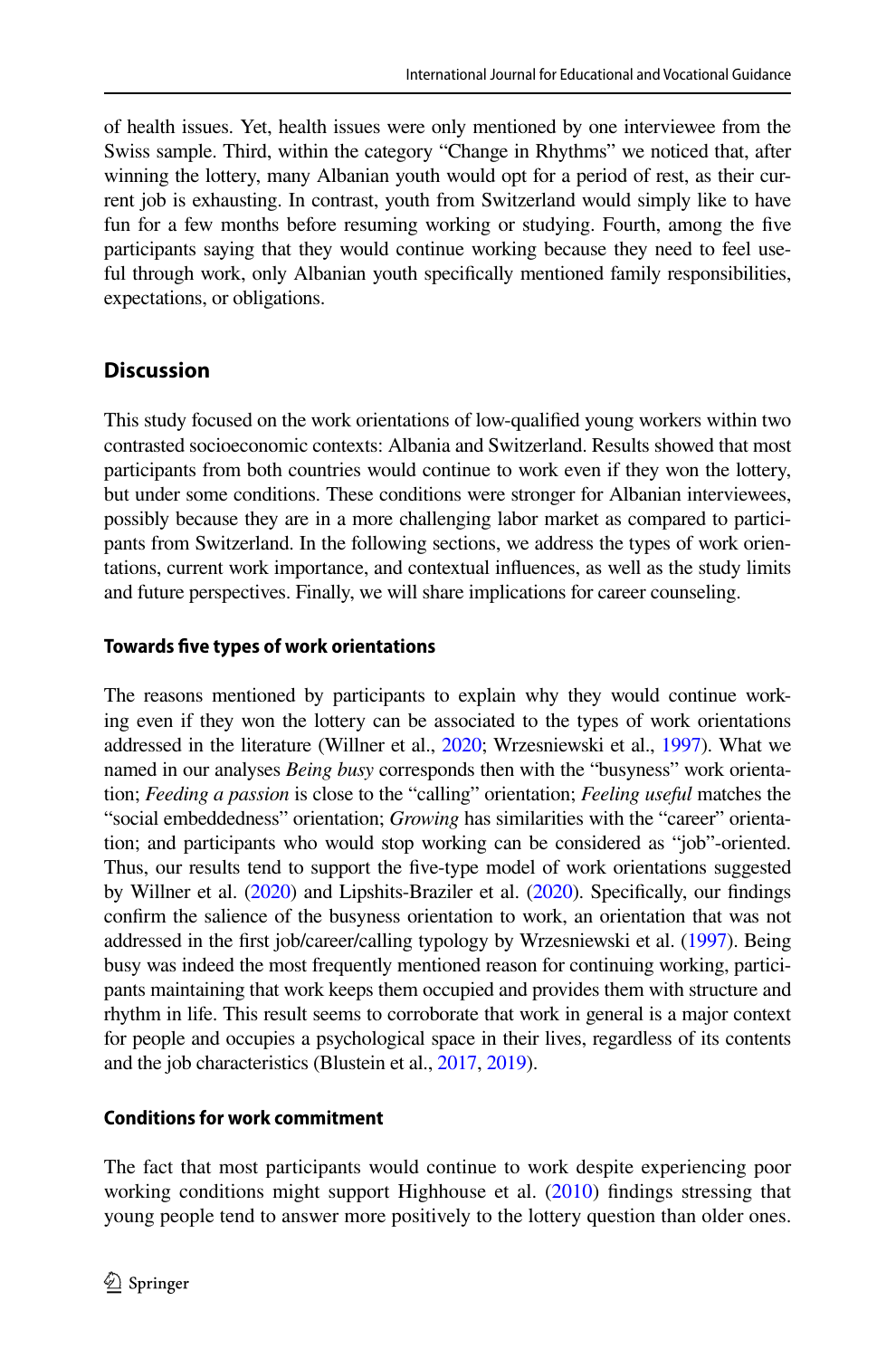of health issues. Yet, health issues were only mentioned by one interviewee from the Swiss sample. Third, within the category "Change in Rhythms" we noticed that, after winning the lottery, many Albanian youth would opt for a period of rest, as their current job is exhausting. In contrast, youth from Switzerland would simply like to have fun for a few months before resuming working or studying. Fourth, among the fve participants saying that they would continue working because they need to feel useful through work, only Albanian youth specifcally mentioned family responsibilities, expectations, or obligations.

# **Discussion**

This study focused on the work orientations of low-qualifed young workers within two contrasted socioeconomic contexts: Albania and Switzerland. Results showed that most participants from both countries would continue to work even if they won the lottery, but under some conditions. These conditions were stronger for Albanian interviewees, possibly because they are in a more challenging labor market as compared to participants from Switzerland. In the following sections, we address the types of work orientations, current work importance, and contextual infuences, as well as the study limits and future perspectives. Finally, we will share implications for career counseling.

## **Towards fve types of work orientations**

The reasons mentioned by participants to explain why they would continue working even if they won the lottery can be associated to the types of work orientations addressed in the literature (Willner et al., [2020](#page-18-2); Wrzesniewski et al., [1997\)](#page-18-5). What we named in our analyses *Being busy* corresponds then with the "busyness" work orientation; *Feeding a passion* is close to the "calling" orientation; *Feeling useful* matches the "social embeddedness" orientation; *Growing* has similarities with the "career" orientation; and participants who would stop working can be considered as "job"-oriented. Thus, our results tend to support the five-type model of work orientations suggested by Willner et al. [\(2020](#page-18-2)) and Lipshits-Braziler et al. [\(2020\)](#page-17-10). Specifcally, our fndings confrm the salience of the busyness orientation to work, an orientation that was not addressed in the frst job/career/calling typology by Wrzesniewski et al. [\(1997\)](#page-18-5). Being busy was indeed the most frequently mentioned reason for continuing working, participants maintaining that work keeps them occupied and provides them with structure and rhythm in life. This result seems to corroborate that work in general is a major context for people and occupies a psychological space in their lives, regardless of its contents and the job characteristics (Blustein et al., [2017](#page-16-1), [2019](#page-16-2)).

## **Conditions for work commitment**

The fact that most participants would continue to work despite experiencing poor working conditions might support Highhouse et al. ([2010\)](#page-17-5) findings stressing that young people tend to answer more positively to the lottery question than older ones.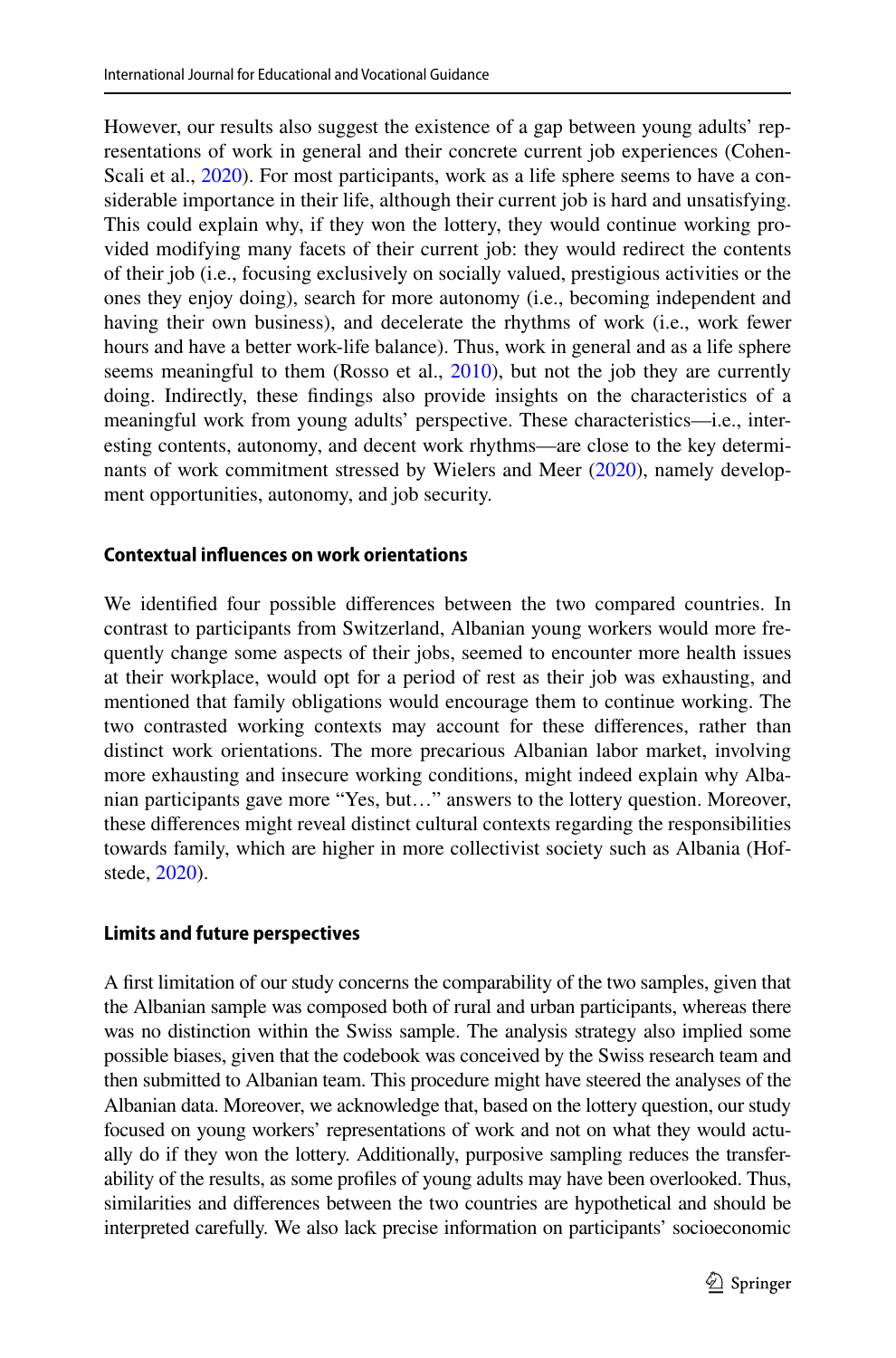However, our results also suggest the existence of a gap between young adults' representations of work in general and their concrete current job experiences (Cohen-Scali et al., [2020\)](#page-16-4). For most participants, work as a life sphere seems to have a considerable importance in their life, although their current job is hard and unsatisfying. This could explain why, if they won the lottery, they would continue working provided modifying many facets of their current job: they would redirect the contents of their job (i.e., focusing exclusively on socially valued, prestigious activities or the ones they enjoy doing), search for more autonomy (i.e., becoming independent and having their own business), and decelerate the rhythms of work (i.e., work fewer hours and have a better work-life balance). Thus, work in general and as a life sphere seems meaningful to them (Rosso et al., [2010](#page-17-8)), but not the job they are currently doing. Indirectly, these fndings also provide insights on the characteristics of a meaningful work from young adults' perspective. These characteristics—i.e., interesting contents, autonomy, and decent work rhythms—are close to the key determinants of work commitment stressed by Wielers and Meer [\(2020](#page-18-4)), namely development opportunities, autonomy, and job security.

### **Contextual infuences on work orientations**

We identifed four possible diferences between the two compared countries. In contrast to participants from Switzerland, Albanian young workers would more frequently change some aspects of their jobs, seemed to encounter more health issues at their workplace, would opt for a period of rest as their job was exhausting, and mentioned that family obligations would encourage them to continue working. The two contrasted working contexts may account for these diferences, rather than distinct work orientations. The more precarious Albanian labor market, involving more exhausting and insecure working conditions, might indeed explain why Albanian participants gave more "Yes, but…" answers to the lottery question. Moreover, these diferences might reveal distinct cultural contexts regarding the responsibilities towards family, which are higher in more collectivist society such as Albania (Hofstede, [2020](#page-17-20)).

### **Limits and future perspectives**

A frst limitation of our study concerns the comparability of the two samples, given that the Albanian sample was composed both of rural and urban participants, whereas there was no distinction within the Swiss sample. The analysis strategy also implied some possible biases, given that the codebook was conceived by the Swiss research team and then submitted to Albanian team. This procedure might have steered the analyses of the Albanian data. Moreover, we acknowledge that, based on the lottery question, our study focused on young workers' representations of work and not on what they would actually do if they won the lottery. Additionally, purposive sampling reduces the transferability of the results, as some profles of young adults may have been overlooked. Thus, similarities and diferences between the two countries are hypothetical and should be interpreted carefully. We also lack precise information on participants' socioeconomic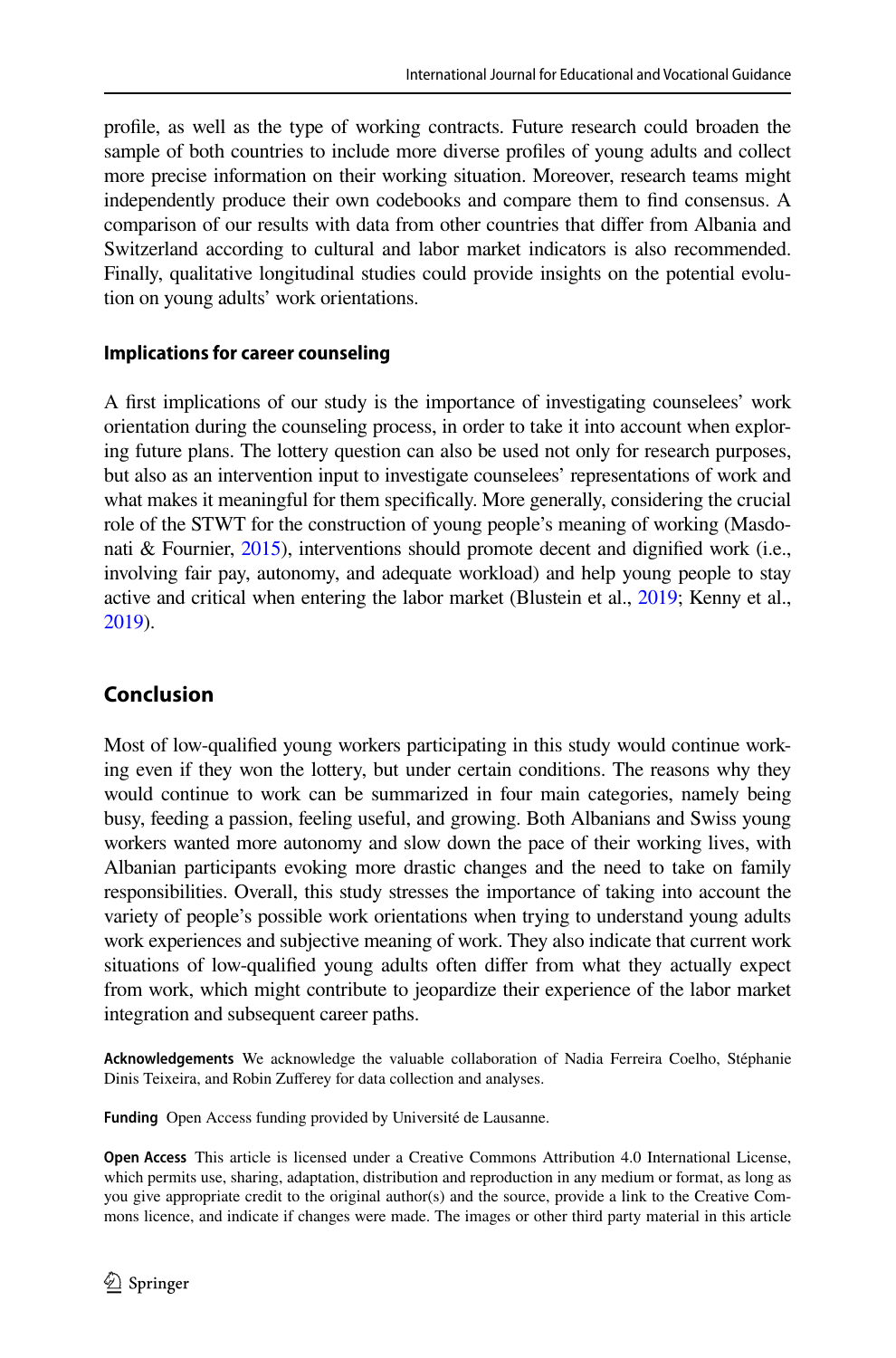profle, as well as the type of working contracts. Future research could broaden the sample of both countries to include more diverse profles of young adults and collect more precise information on their working situation. Moreover, research teams might independently produce their own codebooks and compare them to fnd consensus. A comparison of our results with data from other countries that difer from Albania and Switzerland according to cultural and labor market indicators is also recommended. Finally, qualitative longitudinal studies could provide insights on the potential evolution on young adults' work orientations.

## **Implications for career counseling**

A frst implications of our study is the importance of investigating counselees' work orientation during the counseling process, in order to take it into account when exploring future plans. The lottery question can also be used not only for research purposes, but also as an intervention input to investigate counselees' representations of work and what makes it meaningful for them specifcally. More generally, considering the crucial role of the STWT for the construction of young people's meaning of working (Masdonati & Fournier, [2015\)](#page-16-5), interventions should promote decent and dignifed work (i.e., involving fair pay, autonomy, and adequate workload) and help young people to stay active and critical when entering the labor market (Blustein et al., [2019](#page-16-2); Kenny et al., [2019](#page-17-2)).

# **Conclusion**

Most of low-qualifed young workers participating in this study would continue working even if they won the lottery, but under certain conditions. The reasons why they would continue to work can be summarized in four main categories, namely being busy, feeding a passion, feeling useful, and growing. Both Albanians and Swiss young workers wanted more autonomy and slow down the pace of their working lives, with Albanian participants evoking more drastic changes and the need to take on family responsibilities. Overall, this study stresses the importance of taking into account the variety of people's possible work orientations when trying to understand young adults work experiences and subjective meaning of work. They also indicate that current work situations of low-qualifed young adults often difer from what they actually expect from work, which might contribute to jeopardize their experience of the labor market integration and subsequent career paths.

**Acknowledgements** We acknowledge the valuable collaboration of Nadia Ferreira Coelho, Stéphanie Dinis Teixeira, and Robin Zufferey for data collection and analyses.

**Funding** Open Access funding provided by Université de Lausanne.

**Open Access** This article is licensed under a Creative Commons Attribution 4.0 International License, which permits use, sharing, adaptation, distribution and reproduction in any medium or format, as long as you give appropriate credit to the original author(s) and the source, provide a link to the Creative Commons licence, and indicate if changes were made. The images or other third party material in this article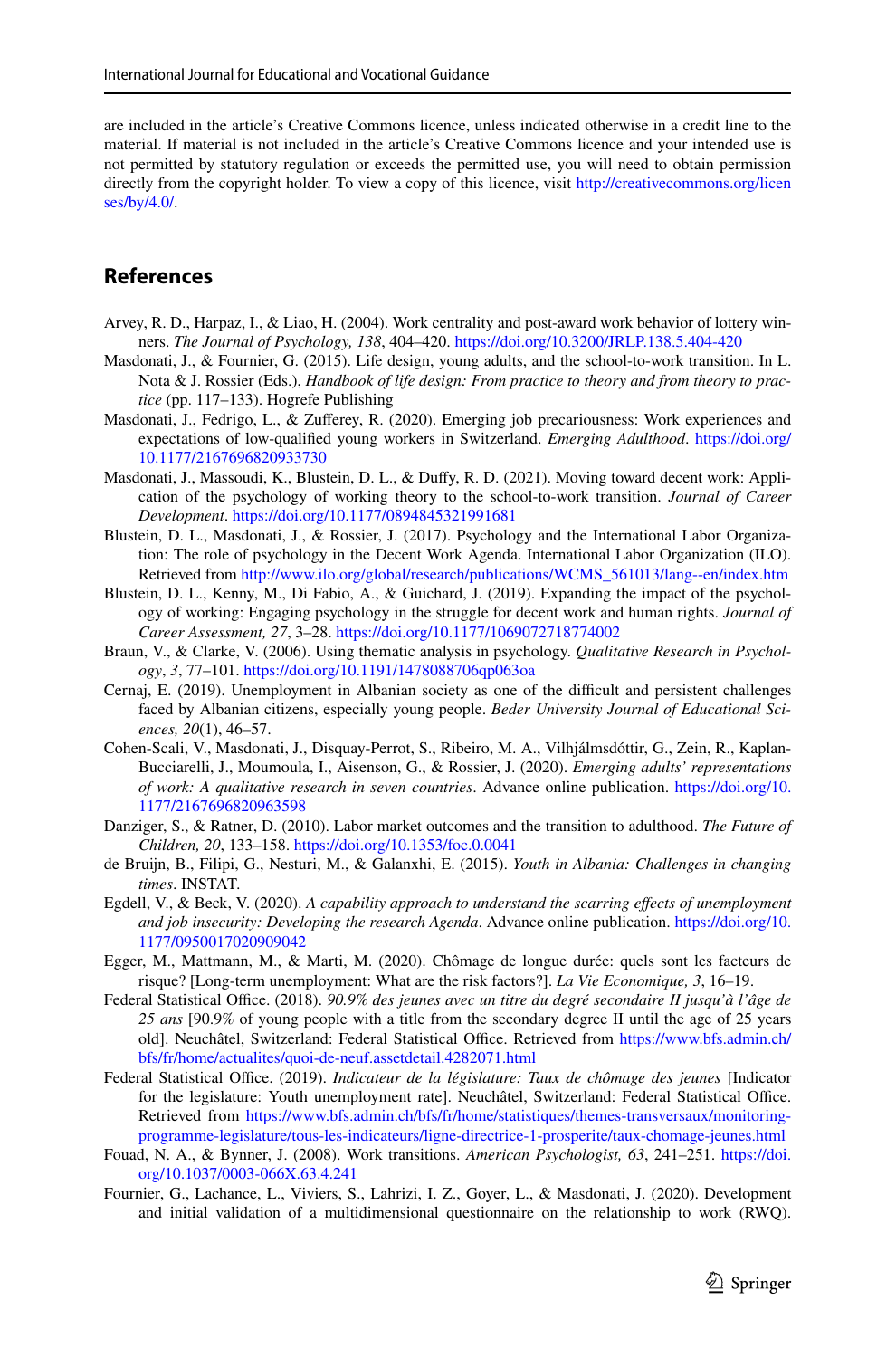are included in the article's Creative Commons licence, unless indicated otherwise in a credit line to the material. If material is not included in the article's Creative Commons licence and your intended use is not permitted by statutory regulation or exceeds the permitted use, you will need to obtain permission directly from the copyright holder. To view a copy of this licence, visit [http://creativecommons.org/licen](http://creativecommons.org/licenses/by/4.0/) [ses/by/4.0/](http://creativecommons.org/licenses/by/4.0/).

## **References**

- <span id="page-16-9"></span>Arvey, R. D., Harpaz, I., & Liao, H. (2004). Work centrality and post-award work behavior of lottery winners. *The Journal of Psychology, 138*, 404–420.<https://doi.org/10.3200/JRLP.138.5.404-420>
- <span id="page-16-5"></span>Masdonati, J., & Fournier, G. (2015). Life design, young adults, and the school-to-work transition. In L. Nota & J. Rossier (Eds.), *Handbook of life design: From practice to theory and from theory to practice* (pp. 117–133). Hogrefe Publishing
- <span id="page-16-15"></span>Masdonati, J., Fedrigo, L., & Zuferey, R. (2020). Emerging job precariousness: Work experiences and expectations of low-qualifed young workers in Switzerland. *Emerging Adulthood*. [https://doi.org/](https://doi.org/10.1177/2167696820933730) [10.1177/2167696820933730](https://doi.org/10.1177/2167696820933730)
- <span id="page-16-6"></span>Masdonati, J., Massoudi, K., Blustein, D. L., & Dufy, R. D. (2021). Moving toward decent work: Application of the psychology of working theory to the school-to-work transition. *Journal of Career Development*.<https://doi.org/10.1177/0894845321991681>
- <span id="page-16-1"></span>Blustein, D. L., Masdonati, J., & Rossier, J. (2017). Psychology and the International Labor Organization: The role of psychology in the Decent Work Agenda. International Labor Organization (ILO). Retrieved from [http://www.ilo.org/global/research/publications/WCMS\\_561013/lang--en/index.htm](http://www.ilo.org/global/research/publications/WCMS_561013/lang--en/index.htm)
- <span id="page-16-2"></span>Blustein, D. L., Kenny, M., Di Fabio, A., & Guichard, J. (2019). Expanding the impact of the psychology of working: Engaging psychology in the struggle for decent work and human rights. *Journal of Career Assessment, 27*, 3–28. <https://doi.org/10.1177/1069072718774002>
- <span id="page-16-16"></span>Braun, V., & Clarke, V. (2006). Using thematic analysis in psychology. *Qualitative Research in Psychology*, *3*, 77–101. <https://doi.org/10.1191/1478088706qp063oa>
- <span id="page-16-10"></span>Cernaj, E. (2019). Unemployment in Albanian society as one of the difficult and persistent challenges faced by Albanian citizens, especially young people. *Beder University Journal of Educational Sciences, 20*(1), 46–57.
- <span id="page-16-4"></span>Cohen-Scali, V., Masdonati, J., Disquay-Perrot, S., Ribeiro, M. A., Vilhjálmsdóttir, G., Zein, R., Kaplan-Bucciarelli, J., Moumoula, I., Aisenson, G., & Rossier, J. (2020). *Emerging adults' representations of work: A qualitative research in seven countries*. Advance online publication. [https://doi.org/10.](https://doi.org/10.1177/2167696820963598) [1177/2167696820963598](https://doi.org/10.1177/2167696820963598)
- <span id="page-16-8"></span>Danziger, S., & Ratner, D. (2010). Labor market outcomes and the transition to adulthood. *The Future of Children, 20*, 133–158.<https://doi.org/10.1353/foc.0.0041>
- <span id="page-16-11"></span>de Bruijn, B., Filipi, G., Nesturi, M., & Galanxhi, E. (2015). *Youth in Albania: Challenges in changing times*. INSTAT.
- <span id="page-16-7"></span>Egdell, V., & Beck, V. (2020). *A capability approach to understand the scarring efects of unemployment and job insecurity: Developing the research Agenda*. Advance online publication. [https://doi.org/10.](https://doi.org/10.1177/0950017020909042) [1177/0950017020909042](https://doi.org/10.1177/0950017020909042)
- <span id="page-16-14"></span>Egger, M., Mattmann, M., & Marti, M. (2020). Chômage de longue durée: quels sont les facteurs de risque? [Long-term unemployment: What are the risk factors?]. *La Vie Economique, 3*, 16–19.
- <span id="page-16-12"></span>Federal Statistical Office. (2018). 90.9% des jeunes avec un titre du degré secondaire II jusqu'à l'âge de *25 ans* [90.9% of young people with a title from the secondary degree II until the age of 25 years old]. Neuchâtel, Switzerland: Federal Statistical Office. Retrieved from [https://www.bfs.admin.ch/](https://www.bfs.admin.ch/bfs/fr/home/actualites/quoi-de-neuf.assetdetail.4282071.html) [bfs/fr/home/actualites/quoi-de-neuf.assetdetail.4282071.html](https://www.bfs.admin.ch/bfs/fr/home/actualites/quoi-de-neuf.assetdetail.4282071.html)
- <span id="page-16-13"></span>Federal Statistical Office. (2019). *Indicateur de la législature: Taux de chômage des jeunes* [Indicator for the legislature: Youth unemployment rate]. Neuchâtel, Switzerland: Federal Statistical Office. Retrieved from [https://www.bfs.admin.ch/bfs/fr/home/statistiques/themes-transversaux/monitoring](https://www.bfs.admin.ch/bfs/fr/home/statistiques/themes-transversaux/monitoring-programme-legislature/tous-les-indicateurs/ligne-directrice-1-prosperite/taux-chomage-jeunes.html)[programme-legislature/tous-les-indicateurs/ligne-directrice-1-prosperite/taux-chomage-jeunes.html](https://www.bfs.admin.ch/bfs/fr/home/statistiques/themes-transversaux/monitoring-programme-legislature/tous-les-indicateurs/ligne-directrice-1-prosperite/taux-chomage-jeunes.html)
- <span id="page-16-0"></span>Fouad, N. A., & Bynner, J. (2008). Work transitions. *American Psychologist, 63*, 241–251. [https://doi.](https://doi.org/10.1037/0003-066X.63.4.241) [org/10.1037/0003-066X.63.4.241](https://doi.org/10.1037/0003-066X.63.4.241)
- <span id="page-16-3"></span>Fournier, G., Lachance, L., Viviers, S., Lahrizi, I. Z., Goyer, L., & Masdonati, J. (2020). Development and initial validation of a multidimensional questionnaire on the relationship to work (RWQ).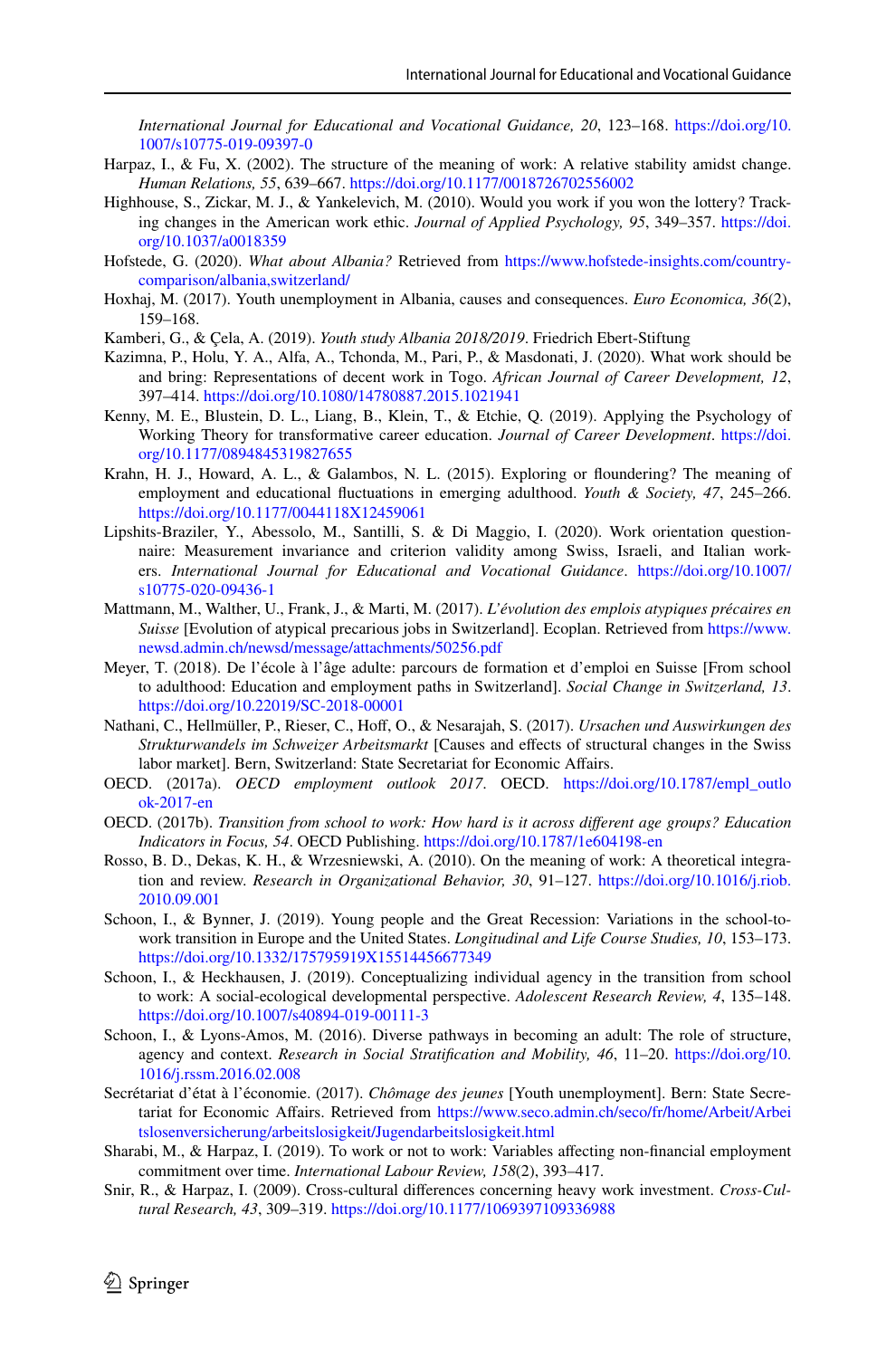*International Journal for Educational and Vocational Guidance, 20*, 123–168. [https://doi.org/10.](https://doi.org/10.1007/s10775-019-09397-0) [1007/s10775-019-09397-0](https://doi.org/10.1007/s10775-019-09397-0)

- <span id="page-17-9"></span>Harpaz, I., & Fu, X. (2002). The structure of the meaning of work: A relative stability amidst change. *Human Relations, 55*, 639–667. <https://doi.org/10.1177/0018726702556002>
- <span id="page-17-5"></span>Highhouse, S., Zickar, M. J., & Yankelevich, M. (2010). Would you work if you won the lottery? Tracking changes in the American work ethic. *Journal of Applied Psychology, 95*, 349–357. [https://doi.](https://doi.org/10.1037/a0018359) [org/10.1037/a0018359](https://doi.org/10.1037/a0018359)
- <span id="page-17-20"></span>Hofstede, G. (2020). *What about Albania?* Retrieved from [https://www.hofstede-insights.com/country](https://www.hofstede-insights.com/country-comparison/albania,switzerland/)[comparison/albania,switzerland/](https://www.hofstede-insights.com/country-comparison/albania,switzerland/)
- <span id="page-17-14"></span>Hoxhaj, M. (2017). Youth unemployment in Albania, causes and consequences. *Euro Economica, 36*(2), 159–168.
- <span id="page-17-13"></span>Kamberi, G., & Çela, A. (2019). *Youth study Albania 2018/2019*. Friedrich Ebert-Stiftung
- <span id="page-17-1"></span>Kazimna, P., Holu, Y. A., Alfa, A., Tchonda, M., Pari, P., & Masdonati, J. (2020). What work should be and bring: Representations of decent work in Togo. *African Journal of Career Development, 12*, 397–414.<https://doi.org/10.1080/14780887.2015.1021941>
- <span id="page-17-2"></span>Kenny, M. E., Blustein, D. L., Liang, B., Klein, T., & Etchie, Q. (2019). Applying the Psychology of Working Theory for transformative career education. *Journal of Career Development*. [https://doi.](https://doi.org/10.1177/0894845319827655) [org/10.1177/0894845319827655](https://doi.org/10.1177/0894845319827655)
- <span id="page-17-4"></span>Krahn, H. J., Howard, A. L., & Galambos, N. L. (2015). Exploring or foundering? The meaning of employment and educational fuctuations in emerging adulthood. *Youth & Society, 47*, 245–266. <https://doi.org/10.1177/0044118X12459061>
- <span id="page-17-10"></span>Lipshits-Braziler, Y., Abessolo, M., Santilli, S. & Di Maggio, I. (2020). Work orientation questionnaire: Measurement invariance and criterion validity among Swiss, Israeli, and Italian workers. *International Journal for Educational and Vocational Guidance*. [https://doi.org/10.1007/](https://doi.org/10.1007/s10775-020-09436-1) [s10775-020-09436-1](https://doi.org/10.1007/s10775-020-09436-1)
- <span id="page-17-17"></span>Mattmann, M., Walther, U., Frank, J., & Marti, M. (2017). *L'évolution des emplois atypiques précaires en Suisse* [Evolution of atypical precarious jobs in Switzerland]. Ecoplan. Retrieved from [https://www.](https://www.newsd.admin.ch/newsd/message/attachments/50256.pdf) [newsd.admin.ch/newsd/message/attachments/50256.pdf](https://www.newsd.admin.ch/newsd/message/attachments/50256.pdf)
- <span id="page-17-19"></span>Meyer, T. (2018). De l'école à l'âge adulte: parcours de formation et d'emploi en Suisse [From school to adulthood: Education and employment paths in Switzerland]. *Social Change in Switzerland, 13*. <https://doi.org/10.22019/SC-2018-00001>
- <span id="page-17-15"></span>Nathani, C., Hellmüller, P., Rieser, C., Hof, O., & Nesarajah, S. (2017). *Ursachen und Auswirkungen des Strukturwandels im Schweizer Arbeitsmarkt* [Causes and efects of structural changes in the Swiss labor market]. Bern, Switzerland: State Secretariat for Economic Afairs.
- <span id="page-17-16"></span>OECD. (2017a). *OECD employment outlook 2017*. OECD. [https://doi.org/10.1787/empl\\_outlo](https://doi.org/10.1787/empl_outlook-2017-en) [ok-2017-en](https://doi.org/10.1787/empl_outlook-2017-en)
- <span id="page-17-3"></span>OECD. (2017b). *Transition from school to work: How hard is it across diferent age groups? Education Indicators in Focus, 54*. OECD Publishing. <https://doi.org/10.1787/1e604198-en>
- <span id="page-17-8"></span>Rosso, B. D., Dekas, K. H., & Wrzesniewski, A. (2010). On the meaning of work: A theoretical integration and review. *Research in Organizational Behavior, 30*, 91–127. [https://doi.org/10.1016/j.riob.](https://doi.org/10.1016/j.riob.2010.09.001) [2010.09.001](https://doi.org/10.1016/j.riob.2010.09.001)
- <span id="page-17-7"></span>Schoon, I., & Bynner, J. (2019). Young people and the Great Recession: Variations in the school-towork transition in Europe and the United States. *Longitudinal and Life Course Studies, 10*, 153–173. <https://doi.org/10.1332/175795919X15514456677349>
- <span id="page-17-0"></span>Schoon, I., & Heckhausen, J. (2019). Conceptualizing individual agency in the transition from school to work: A social-ecological developmental perspective. *Adolescent Research Review, 4*, 135–148. <https://doi.org/10.1007/s40894-019-00111-3>
- <span id="page-17-6"></span>Schoon, I., & Lyons-Amos, M. (2016). Diverse pathways in becoming an adult: The role of structure, agency and context. *Research in Social Stratifcation and Mobility, 46*, 11–20. [https://doi.org/10.](https://doi.org/10.1016/j.rssm.2016.02.008) [1016/j.rssm.2016.02.008](https://doi.org/10.1016/j.rssm.2016.02.008)
- <span id="page-17-18"></span>Secrétariat d'état à l'économie. (2017). *Chômage des jeunes* [Youth unemployment]. Bern: State Secretariat for Economic Afairs. Retrieved from [https://www.seco.admin.ch/seco/fr/home/Arbeit/Arbei](https://www.seco.admin.ch/seco/fr/home/Arbeit/Arbeitslosenversicherung/arbeitslosigkeit/Jugendarbeitslosigkeit.html) [tslosenversicherung/arbeitslosigkeit/Jugendarbeitslosigkeit.html](https://www.seco.admin.ch/seco/fr/home/Arbeit/Arbeitslosenversicherung/arbeitslosigkeit/Jugendarbeitslosigkeit.html)
- <span id="page-17-11"></span>Sharabi, M., & Harpaz, I. (2019). To work or not to work: Variables affecting non-financial employment commitment over time. *International Labour Review, 158*(2), 393–417.
- <span id="page-17-12"></span>Snir, R., & Harpaz, I. (2009). Cross-cultural diferences concerning heavy work investment. *Cross-Cultural Research, 43*, 309–319. <https://doi.org/10.1177/1069397109336988>